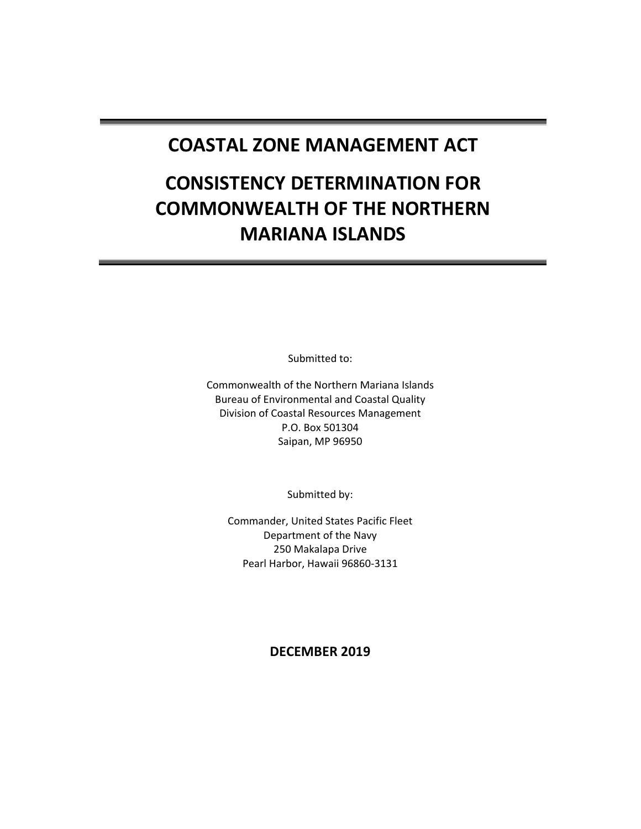## **COASTAL ZONE MANAGEMENT ACT**

# **CONSISTENCY DETERMINATION FOR COMMONWEALTH OF THE NORTHERN MARIANA ISLANDS**

Submitted to:

Commonwealth of the Northern Mariana Islands Bureau of Environmental and Coastal Quality Division of Coastal Resources Management P.O. Box 501304 Saipan, MP 96950

Submitted by:

Commander, United States Pacific Fleet Department of the Navy 250 Makalapa Drive Pearl Harbor, Hawaii 96860-3131

**DECEMBER 2019**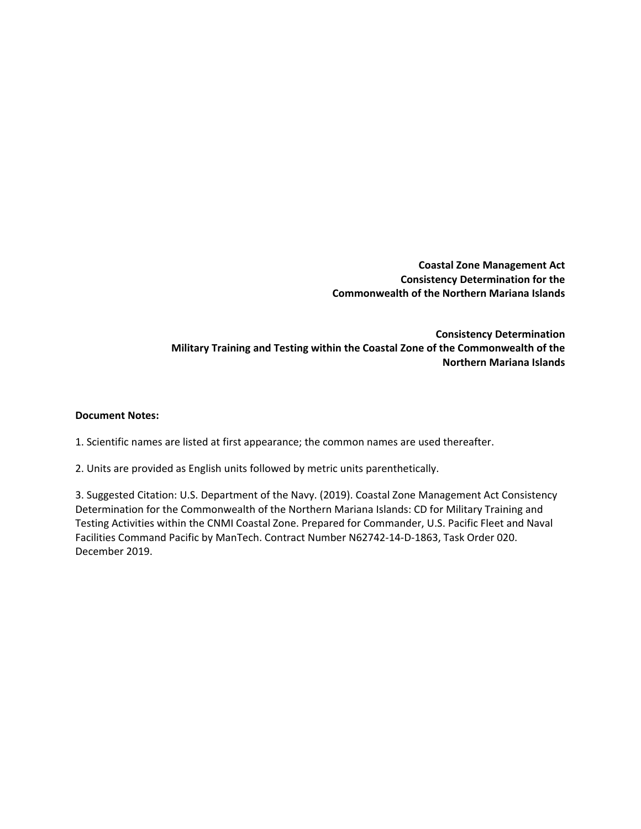**Coastal Zone Management Act Consistency Determination for the Commonwealth of the Northern Mariana Islands**

**Consistency Determination Military Training and Testing within the Coastal Zone of the Commonwealth of the Northern Mariana Islands**

#### **Document Notes:**

1. Scientific names are listed at first appearance; the common names are used thereafter.

2. Units are provided as English units followed by metric units parenthetically.

3. Suggested Citation: U.S. Department of the Navy. (2019). Coastal Zone Management Act Consistency Determination for the Commonwealth of the Northern Mariana Islands: CD for Military Training and Testing Activities within the CNMI Coastal Zone. Prepared for Commander, U.S. Pacific Fleet and Naval Facilities Command Pacific by ManTech. Contract Number N62742-14-D-1863, Task Order 020. December 2019.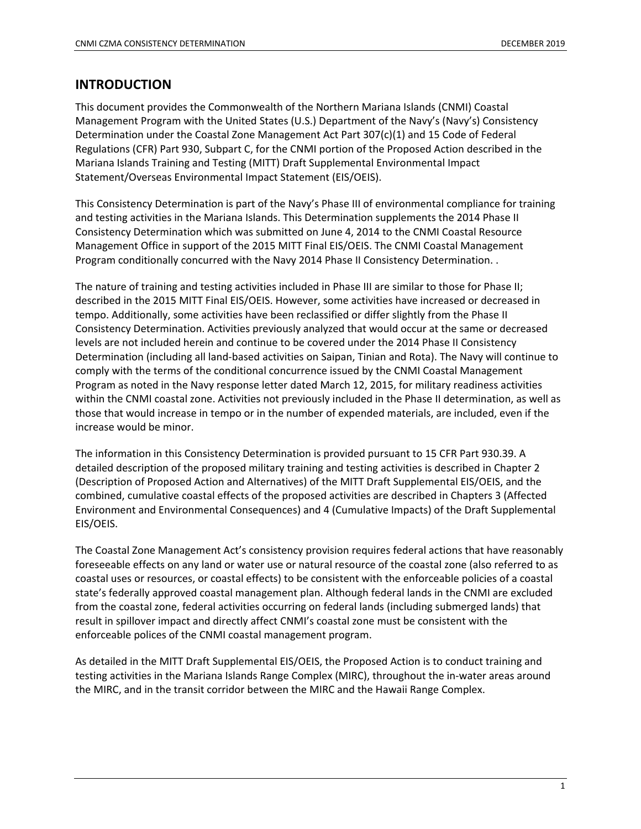#### **INTRODUCTION**

This document provides the Commonwealth of the Northern Mariana Islands (CNMI) Coastal Management Program with the United States (U.S.) Department of the Navy's (Navy's) Consistency Determination under the Coastal Zone Management Act Part 307(c)(1) and 15 Code of Federal Regulations (CFR) Part 930, Subpart C, for the CNMI portion of the Proposed Action described in the Mariana Islands Training and Testing (MITT) Draft Supplemental Environmental Impact Statement/Overseas Environmental Impact Statement (EIS/OEIS).

This Consistency Determination is part of the Navy's Phase III of environmental compliance for training and testing activities in the Mariana Islands. This Determination supplements the 2014 Phase II Consistency Determination which was submitted on June 4, 2014 to the CNMI Coastal Resource Management Office in support of the 2015 MITT Final EIS/OEIS. The CNMI Coastal Management Program conditionally concurred with the Navy 2014 Phase II Consistency Determination. .

The nature of training and testing activities included in Phase III are similar to those for Phase II; described in the 2015 MITT Final EIS/OEIS. However, some activities have increased or decreased in tempo. Additionally, some activities have been reclassified or differ slightly from the Phase II Consistency Determination. Activities previously analyzed that would occur at the same or decreased levels are not included herein and continue to be covered under the 2014 Phase II Consistency Determination (including all land-based activities on Saipan, Tinian and Rota). The Navy will continue to comply with the terms of the conditional concurrence issued by the CNMI Coastal Management Program as noted in the Navy response letter dated March 12, 2015, for military readiness activities within the CNMI coastal zone. Activities not previously included in the Phase II determination, as well as those that would increase in tempo or in the number of expended materials, are included, even if the increase would be minor.

The information in this Consistency Determination is provided pursuant to 15 CFR Part 930.39. A detailed description of the proposed military training and testing activities is described in Chapter 2 (Description of Proposed Action and Alternatives) of the MITT Draft Supplemental EIS/OEIS, and the combined, cumulative coastal effects of the proposed activities are described in Chapters 3 (Affected Environment and Environmental Consequences) and 4 (Cumulative Impacts) of the Draft Supplemental EIS/OEIS.

The Coastal Zone Management Act's consistency provision requires federal actions that have reasonably foreseeable effects on any land or water use or natural resource of the coastal zone (also referred to as coastal uses or resources, or coastal effects) to be consistent with the enforceable policies of a coastal state's federally approved coastal management plan. Although federal lands in the CNMI are excluded from the coastal zone, federal activities occurring on federal lands (including submerged lands) that result in spillover impact and directly affect CNMI's coastal zone must be consistent with the enforceable polices of the CNMI coastal management program.

As detailed in the MITT Draft Supplemental EIS/OEIS, the Proposed Action is to conduct training and testing activities in the Mariana Islands Range Complex (MIRC), throughout the in-water areas around the MIRC, and in the transit corridor between the MIRC and the Hawaii Range Complex.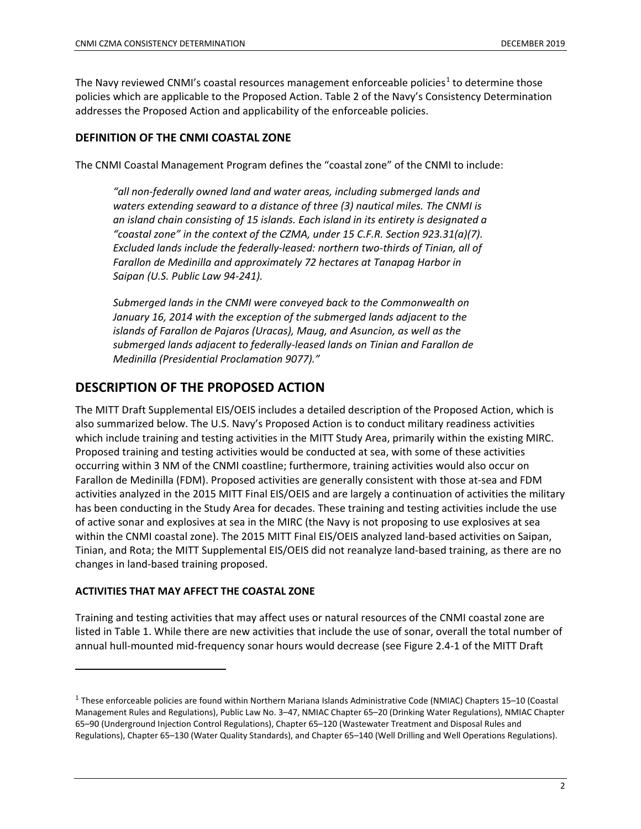The Navy reviewed CNMI's coastal resources management enforceable policies<sup>[1](#page-3-0)</sup> to determine those policies which are applicable to the Proposed Action. Table 2 of the Navy's Consistency Determination addresses the Proposed Action and applicability of the enforceable policies.

#### **DEFINITION OF THE CNMI COASTAL ZONE**

The CNMI Coastal Management Program defines the "coastal zone" of the CNMI to include:

*"all non-federally owned land and water areas, including submerged lands and waters extending seaward to a distance of three (3) nautical miles. The CNMI is an island chain consisting of 15 islands. Each island in its entirety is designated a "coastal zone" in the context of the CZMA, under 15 C.F.R. Section 923.31(a)(7). Excluded lands include the federally-leased: northern two-thirds of Tinian, all of Farallon de Medinilla and approximately 72 hectares at Tanapag Harbor in Saipan (U.S. Public Law 94-241).*

*Submerged lands in the CNMI were conveyed back to the Commonwealth on January 16, 2014 with the exception of the submerged lands adjacent to the islands of Farallon de Pajaros (Uracas), Maug, and Asuncion, as well as the submerged lands adjacent to federally-leased lands on Tinian and Farallon de Medinilla (Presidential Proclamation 9077)."*

#### **DESCRIPTION OF THE PROPOSED ACTION**

The MITT Draft Supplemental EIS/OEIS includes a detailed description of the Proposed Action, which is also summarized below. The U.S. Navy's Proposed Action is to conduct military readiness activities which include training and testing activities in the MITT Study Area, primarily within the existing MIRC. Proposed training and testing activities would be conducted at sea, with some of these activities occurring within 3 NM of the CNMI coastline; furthermore, training activities would also occur on Farallon de Medinilla (FDM). Proposed activities are generally consistent with those at-sea and FDM activities analyzed in the 2015 MITT Final EIS/OEIS and are largely a continuation of activities the military has been conducting in the Study Area for decades. These training and testing activities include the use of active sonar and explosives at sea in the MIRC (the Navy is not proposing to use explosives at sea within the CNMI coastal zone). The 2015 MITT Final EIS/OEIS analyzed land-based activities on Saipan, Tinian, and Rota; the MITT Supplemental EIS/OEIS did not reanalyze land-based training, as there are no changes in land-based training proposed.

#### **ACTIVITIES THAT MAY AFFECT THE COASTAL ZONE**

 $\overline{\phantom{a}}$ 

Training and testing activities that may affect uses or natural resources of the CNMI coastal zone are listed in Table 1. While there are new activities that include the use of sonar, overall the total number of annual hull-mounted mid-frequency sonar hours would decrease (see Figure 2.4-1 of the MITT Draft

<span id="page-3-0"></span><sup>1</sup> These enforceable policies are found within Northern Mariana Islands Administrative Code (NMIAC) Chapters 15–10 (Coastal Management Rules and Regulations), Public Law No. 3–47, NMIAC Chapter 65–20 (Drinking Water Regulations), NMIAC Chapter 65–90 (Underground Injection Control Regulations), Chapter 65–120 (Wastewater Treatment and Disposal Rules and Regulations), Chapter 65–130 (Water Quality Standards), and Chapter 65–140 (Well Drilling and Well Operations Regulations).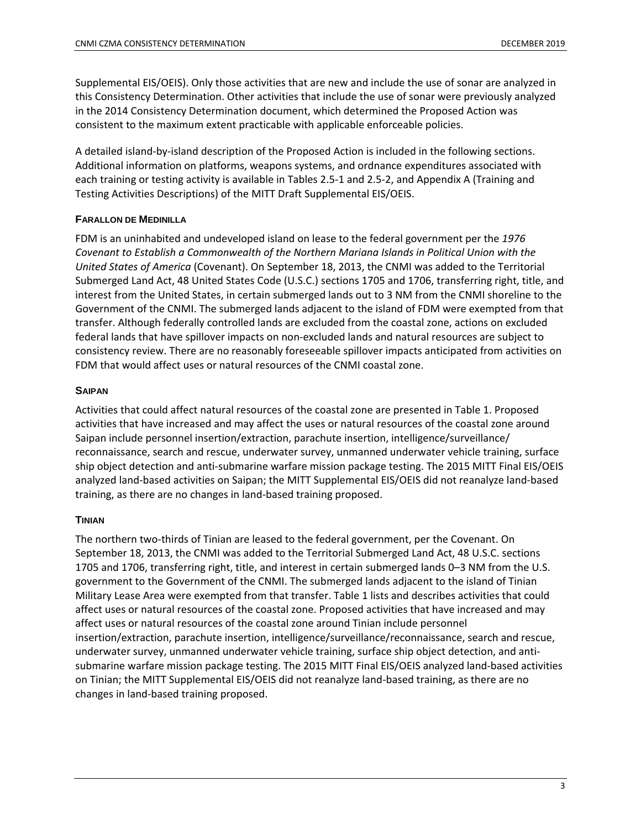Supplemental EIS/OEIS). Only those activities that are new and include the use of sonar are analyzed in this Consistency Determination. Other activities that include the use of sonar were previously analyzed in the 2014 Consistency Determination document, which determined the Proposed Action was consistent to the maximum extent practicable with applicable enforceable policies.

A detailed island-by-island description of the Proposed Action is included in the following sections. Additional information on platforms, weapons systems, and ordnance expenditures associated with each training or testing activity is available in Tables 2.5-1 and 2.5-2, and Appendix A (Training and Testing Activities Descriptions) of the MITT Draft Supplemental EIS/OEIS.

#### **FARALLON DE MEDINILLA**

FDM is an uninhabited and undeveloped island on lease to the federal government per the *1976 Covenant to Establish a Commonwealth of the Northern Mariana Islands in Political Union with the United States of America* (Covenant). On September 18, 2013, the CNMI was added to the Territorial Submerged Land Act, 48 United States Code (U.S.C.) sections 1705 and 1706, transferring right, title, and interest from the United States, in certain submerged lands out to 3 NM from the CNMI shoreline to the Government of the CNMI. The submerged lands adjacent to the island of FDM were exempted from that transfer. Although federally controlled lands are excluded from the coastal zone, actions on excluded federal lands that have spillover impacts on non-excluded lands and natural resources are subject to consistency review. There are no reasonably foreseeable spillover impacts anticipated from activities on FDM that would affect uses or natural resources of the CNMI coastal zone.

#### **SAIPAN**

Activities that could affect natural resources of the coastal zone are presented in Table 1. Proposed activities that have increased and may affect the uses or natural resources of the coastal zone around Saipan include personnel insertion/extraction, parachute insertion, intelligence/surveillance/ reconnaissance, search and rescue, underwater survey, unmanned underwater vehicle training, surface ship object detection and anti-submarine warfare mission package testing. The 2015 MITT Final EIS/OEIS analyzed land-based activities on Saipan; the MITT Supplemental EIS/OEIS did not reanalyze land-based training, as there are no changes in land-based training proposed.

#### **TINIAN**

The northern two-thirds of Tinian are leased to the federal government, per the Covenant. On September 18, 2013, the CNMI was added to the Territorial Submerged Land Act, 48 U.S.C. sections 1705 and 1706, transferring right, title, and interest in certain submerged lands 0–3 NM from the U.S. government to the Government of the CNMI. The submerged lands adjacent to the island of Tinian Military Lease Area were exempted from that transfer. Table 1 lists and describes activities that could affect uses or natural resources of the coastal zone. Proposed activities that have increased and may affect uses or natural resources of the coastal zone around Tinian include personnel insertion/extraction, parachute insertion, intelligence/surveillance/reconnaissance, search and rescue, underwater survey, unmanned underwater vehicle training, surface ship object detection, and antisubmarine warfare mission package testing. The 2015 MITT Final EIS/OEIS analyzed land-based activities on Tinian; the MITT Supplemental EIS/OEIS did not reanalyze land-based training, as there are no changes in land-based training proposed.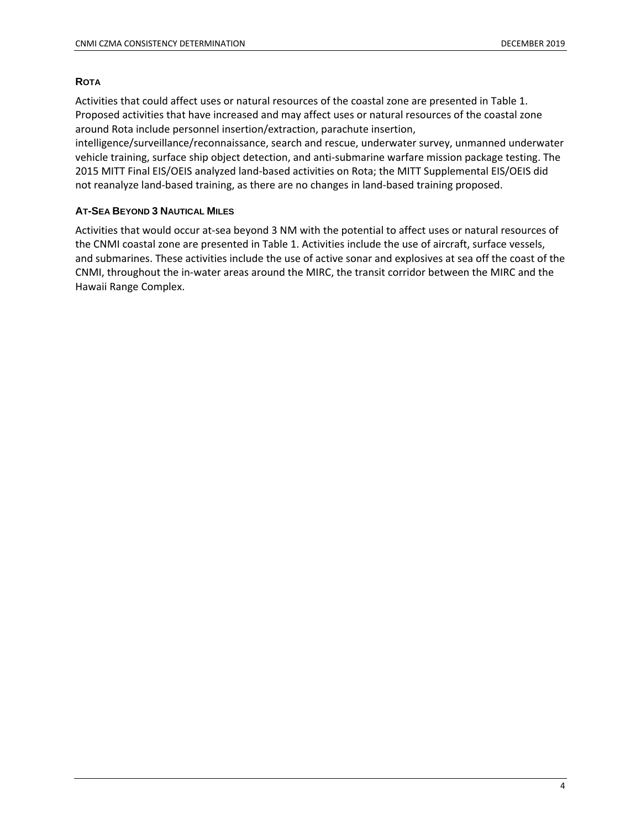#### **ROTA**

Activities that could affect uses or natural resources of the coastal zone are presented in Table 1. Proposed activities that have increased and may affect uses or natural resources of the coastal zone around Rota include personnel insertion/extraction, parachute insertion,

intelligence/surveillance/reconnaissance, search and rescue, underwater survey, unmanned underwater vehicle training, surface ship object detection, and anti-submarine warfare mission package testing. The 2015 MITT Final EIS/OEIS analyzed land-based activities on Rota; the MITT Supplemental EIS/OEIS did not reanalyze land-based training, as there are no changes in land-based training proposed.

#### **AT-SEA BEYOND 3 NAUTICAL MILES**

Activities that would occur at-sea beyond 3 NM with the potential to affect uses or natural resources of the CNMI coastal zone are presented in Table 1. Activities include the use of aircraft, surface vessels, and submarines. These activities include the use of active sonar and explosives at sea off the coast of the CNMI, throughout the in-water areas around the MIRC, the transit corridor between the MIRC and the Hawaii Range Complex.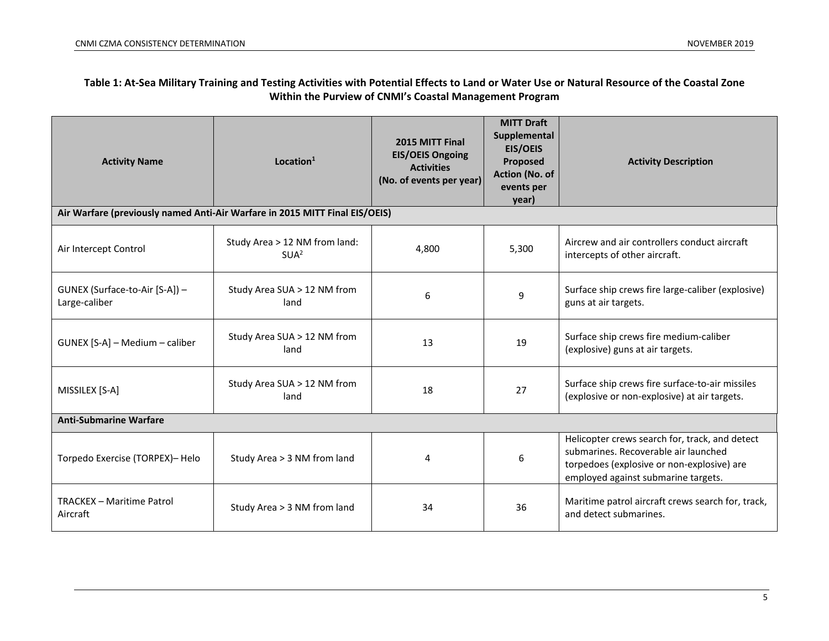#### **Table 1: At-Sea Military Training and Testing Activities with Potential Effects to Land or Water Use or Natural Resource of the Coastal Zone Within the Purview of CNMI's Coastal Management Program**

| <b>Activity Name</b>                                                       | Location <sup>1</sup>                                                       | 2015 MITT Final<br><b>EIS/OEIS Ongoing</b><br><b>Activities</b><br>(No. of events per year) | <b>MITT Draft</b><br>Supplemental<br><b>EIS/OEIS</b><br>Proposed<br>Action (No. of<br>events per<br>year) | <b>Activity Description</b>                                                                                                                                                 |
|----------------------------------------------------------------------------|-----------------------------------------------------------------------------|---------------------------------------------------------------------------------------------|-----------------------------------------------------------------------------------------------------------|-----------------------------------------------------------------------------------------------------------------------------------------------------------------------------|
|                                                                            | Air Warfare (previously named Anti-Air Warfare in 2015 MITT Final EIS/OEIS) |                                                                                             |                                                                                                           |                                                                                                                                                                             |
| Study Area > 12 NM from land:<br>Air Intercept Control<br>SUA <sup>2</sup> |                                                                             | 4,800                                                                                       | 5,300                                                                                                     | Aircrew and air controllers conduct aircraft<br>intercepts of other aircraft.                                                                                               |
| GUNEX (Surface-to-Air [S-A]) -<br>Large-caliber                            | Study Area SUA > 12 NM from<br>land                                         | 6                                                                                           | 9                                                                                                         | Surface ship crews fire large-caliber (explosive)<br>guns at air targets.                                                                                                   |
| Study Area SUA > 12 NM from<br>GUNEX [S-A] - Medium - caliber<br>land      |                                                                             | 13                                                                                          | 19                                                                                                        | Surface ship crews fire medium-caliber<br>(explosive) guns at air targets.                                                                                                  |
| Study Area SUA > 12 NM from<br>MISSILEX [S-A]<br>land                      |                                                                             | 18                                                                                          | 27                                                                                                        | Surface ship crews fire surface-to-air missiles<br>(explosive or non-explosive) at air targets.                                                                             |
| <b>Anti-Submarine Warfare</b>                                              |                                                                             |                                                                                             |                                                                                                           |                                                                                                                                                                             |
| Torpedo Exercise (TORPEX)- Helo<br>Study Area > 3 NM from land             |                                                                             | 4                                                                                           | 6                                                                                                         | Helicopter crews search for, track, and detect<br>submarines. Recoverable air launched<br>torpedoes (explosive or non-explosive) are<br>employed against submarine targets. |
| <b>TRACKEX - Maritime Patrol</b><br>Aircraft                               | Study Area > 3 NM from land                                                 | 34                                                                                          | 36                                                                                                        | Maritime patrol aircraft crews search for, track,<br>and detect submarines.                                                                                                 |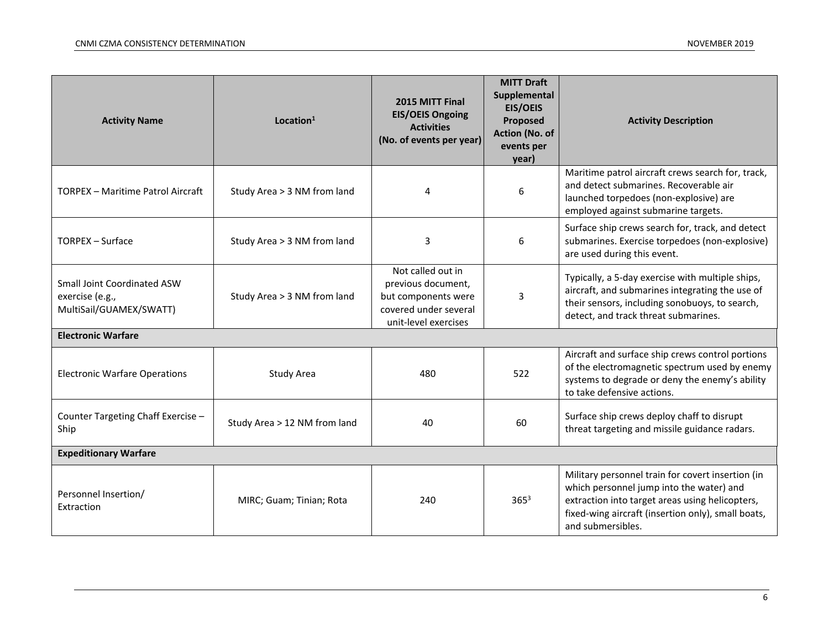| <b>Activity Name</b>                                                       | Location <sup>1</sup>       | 2015 MITT Final<br><b>EIS/OEIS Ongoing</b><br><b>Activities</b><br>(No. of events per year)                          | <b>MITT Draft</b><br>Supplemental<br><b>EIS/OEIS</b><br>Proposed<br>Action (No. of<br>events per<br>year) | <b>Activity Description</b>                                                                                                                                                                                                 |  |
|----------------------------------------------------------------------------|-----------------------------|----------------------------------------------------------------------------------------------------------------------|-----------------------------------------------------------------------------------------------------------|-----------------------------------------------------------------------------------------------------------------------------------------------------------------------------------------------------------------------------|--|
| <b>TORPEX - Maritime Patrol Aircraft</b>                                   | Study Area > 3 NM from land | 4                                                                                                                    | 6                                                                                                         | Maritime patrol aircraft crews search for, track,<br>and detect submarines. Recoverable air<br>launched torpedoes (non-explosive) are<br>employed against submarine targets.                                                |  |
| <b>TORPEX - Surface</b>                                                    | Study Area > 3 NM from land | 3<br>6                                                                                                               |                                                                                                           | Surface ship crews search for, track, and detect<br>submarines. Exercise torpedoes (non-explosive)<br>are used during this event.                                                                                           |  |
| Small Joint Coordinated ASW<br>exercise (e.g.,<br>MultiSail/GUAMEX/SWATT)  | Study Area > 3 NM from land | Not called out in<br>previous document,<br>but components were<br>3<br>covered under several<br>unit-level exercises |                                                                                                           | Typically, a 5-day exercise with multiple ships,<br>aircraft, and submarines integrating the use of<br>their sensors, including sonobuoys, to search,<br>detect, and track threat submarines.                               |  |
| <b>Electronic Warfare</b>                                                  |                             |                                                                                                                      |                                                                                                           |                                                                                                                                                                                                                             |  |
| <b>Electronic Warfare Operations</b>                                       | Study Area                  | 480                                                                                                                  | 522                                                                                                       | Aircraft and surface ship crews control portions<br>of the electromagnetic spectrum used by enemy<br>systems to degrade or deny the enemy's ability<br>to take defensive actions.                                           |  |
| Counter Targeting Chaff Exercise -<br>Study Area > 12 NM from land<br>Ship |                             | 40<br>60                                                                                                             |                                                                                                           | Surface ship crews deploy chaff to disrupt<br>threat targeting and missile guidance radars.                                                                                                                                 |  |
| <b>Expeditionary Warfare</b>                                               |                             |                                                                                                                      |                                                                                                           |                                                                                                                                                                                                                             |  |
| Personnel Insertion/<br>Extraction                                         | MIRC; Guam; Tinian; Rota    | 240                                                                                                                  | $365^{3}$                                                                                                 | Military personnel train for covert insertion (in<br>which personnel jump into the water) and<br>extraction into target areas using helicopters,<br>fixed-wing aircraft (insertion only), small boats,<br>and submersibles. |  |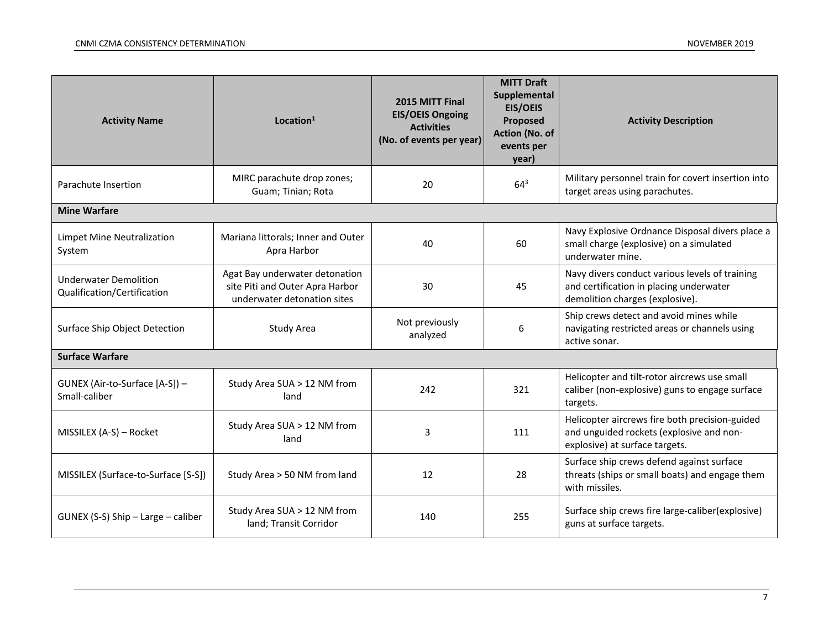| Location $1$<br><b>Activity Name</b>                                |                                                                                                  | 2015 MITT Final<br><b>EIS/OEIS Ongoing</b><br><b>Activities</b><br>(No. of events per year) | <b>MITT Draft</b><br>Supplemental<br><b>EIS/OEIS</b><br>Proposed<br>Action (No. of<br>events per<br>year) | <b>Activity Description</b>                                                                                                  |
|---------------------------------------------------------------------|--------------------------------------------------------------------------------------------------|---------------------------------------------------------------------------------------------|-----------------------------------------------------------------------------------------------------------|------------------------------------------------------------------------------------------------------------------------------|
| Parachute Insertion                                                 | MIRC parachute drop zones;<br>Guam; Tinian; Rota                                                 | 20                                                                                          | $64^{3}$                                                                                                  | Military personnel train for covert insertion into<br>target areas using parachutes.                                         |
| <b>Mine Warfare</b>                                                 |                                                                                                  |                                                                                             |                                                                                                           |                                                                                                                              |
| <b>Limpet Mine Neutralization</b><br>System                         | Mariana littorals; Inner and Outer<br>Apra Harbor                                                | 40                                                                                          | 60                                                                                                        | Navy Explosive Ordnance Disposal divers place a<br>small charge (explosive) on a simulated<br>underwater mine.               |
| <b>Underwater Demolition</b><br>Qualification/Certification         | Agat Bay underwater detonation<br>site Piti and Outer Apra Harbor<br>underwater detonation sites | 30                                                                                          | 45                                                                                                        | Navy divers conduct various levels of training<br>and certification in placing underwater<br>demolition charges (explosive). |
| Surface Ship Object Detection                                       | Study Area                                                                                       | Not previously<br>analyzed                                                                  | 6                                                                                                         | Ship crews detect and avoid mines while<br>navigating restricted areas or channels using<br>active sonar.                    |
| <b>Surface Warfare</b>                                              |                                                                                                  |                                                                                             |                                                                                                           |                                                                                                                              |
| GUNEX (Air-to-Surface [A-S]) -<br>Small-caliber                     | Study Area SUA > 12 NM from<br>land                                                              | 242                                                                                         | 321                                                                                                       | Helicopter and tilt-rotor aircrews use small<br>caliber (non-explosive) guns to engage surface<br>targets.                   |
| Study Area SUA > 12 NM from<br>MISSILEX (A-S) - Rocket<br>land      |                                                                                                  | 3                                                                                           | 111                                                                                                       | Helicopter aircrews fire both precision-guided<br>and unguided rockets (explosive and non-<br>explosive) at surface targets. |
| MISSILEX (Surface-to-Surface [S-S])<br>Study Area > 50 NM from land |                                                                                                  | 12                                                                                          | 28                                                                                                        | Surface ship crews defend against surface<br>threats (ships or small boats) and engage them<br>with missiles.                |
| GUNEX (S-S) Ship - Large - caliber                                  | Study Area SUA > 12 NM from<br>land; Transit Corridor                                            | 140                                                                                         | 255                                                                                                       | Surface ship crews fire large-caliber(explosive)<br>guns at surface targets.                                                 |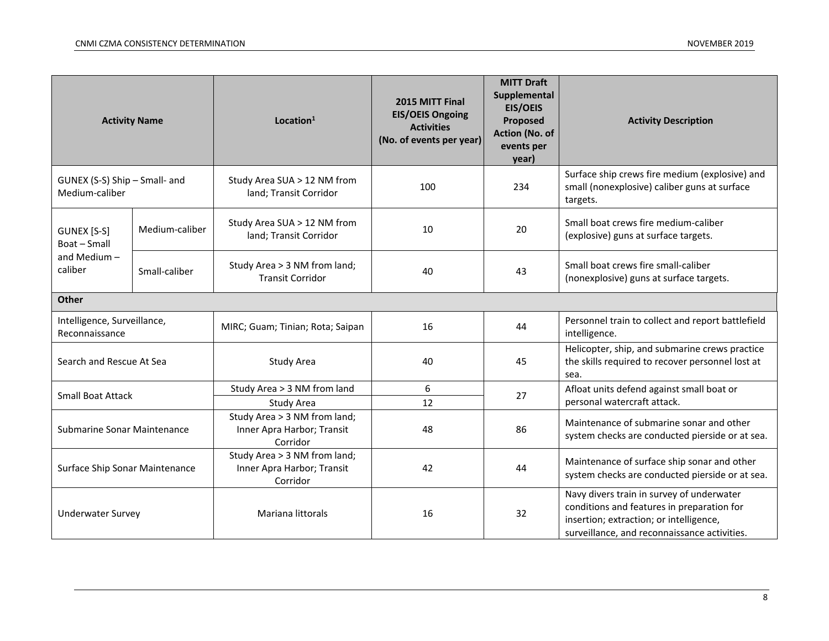| <b>Activity Name</b>                            |                   | Location <sup>1</sup>                                                              | 2015 MITT Final<br><b>EIS/OEIS Ongoing</b><br><b>Activities</b><br>(No. of events per year) | <b>MITT Draft</b><br>Supplemental<br><b>EIS/OEIS</b><br>Proposed<br>Action (No. of<br>events per<br>year) | <b>Activity Description</b>                                                                                |    |                                                                                                                                                                                    |
|-------------------------------------------------|-------------------|------------------------------------------------------------------------------------|---------------------------------------------------------------------------------------------|-----------------------------------------------------------------------------------------------------------|------------------------------------------------------------------------------------------------------------|----|------------------------------------------------------------------------------------------------------------------------------------------------------------------------------------|
| GUNEX (S-S) Ship - Small- and<br>Medium-caliber |                   | Study Area SUA > 12 NM from<br>land; Transit Corridor                              | 100                                                                                         | 234                                                                                                       | Surface ship crews fire medium (explosive) and<br>small (nonexplosive) caliber guns at surface<br>targets. |    |                                                                                                                                                                                    |
| GUNEX [S-S]<br>Boat - Small                     | Medium-caliber    | Study Area SUA > 12 NM from<br>land; Transit Corridor                              | 10                                                                                          | 20                                                                                                        | Small boat crews fire medium-caliber<br>(explosive) guns at surface targets.                               |    |                                                                                                                                                                                    |
| and Medium-<br>caliber<br>Small-caliber         |                   | Study Area > 3 NM from land;<br><b>Transit Corridor</b>                            | 40                                                                                          | 43                                                                                                        | Small boat crews fire small-caliber<br>(nonexplosive) guns at surface targets.                             |    |                                                                                                                                                                                    |
| <b>Other</b>                                    |                   |                                                                                    |                                                                                             |                                                                                                           |                                                                                                            |    |                                                                                                                                                                                    |
| Intelligence, Surveillance,<br>Reconnaissance   |                   | MIRC; Guam; Tinian; Rota; Saipan                                                   | 16                                                                                          | 44                                                                                                        | Personnel train to collect and report battlefield<br>intelligence.                                         |    |                                                                                                                                                                                    |
| Search and Rescue At Sea                        |                   | Study Area                                                                         | 40                                                                                          | 45                                                                                                        | Helicopter, ship, and submarine crews practice<br>the skills required to recover personnel lost at<br>sea. |    |                                                                                                                                                                                    |
| <b>Small Boat Attack</b>                        |                   | Study Area > 3 NM from land                                                        | 6                                                                                           | 27                                                                                                        | Afloat units defend against small boat or                                                                  |    |                                                                                                                                                                                    |
|                                                 |                   | Study Area                                                                         | 12                                                                                          |                                                                                                           | personal watercraft attack.                                                                                |    |                                                                                                                                                                                    |
| <b>Submarine Sonar Maintenance</b>              |                   | Study Area > 3 NM from land;<br>Inner Apra Harbor; Transit<br>86<br>48<br>Corridor |                                                                                             |                                                                                                           | Maintenance of submarine sonar and other<br>system checks are conducted pierside or at sea.                |    |                                                                                                                                                                                    |
| Surface Ship Sonar Maintenance                  |                   | Study Area > 3 NM from land;<br>Inner Apra Harbor; Transit<br>Corridor             | 42                                                                                          | 44                                                                                                        | Maintenance of surface ship sonar and other<br>system checks are conducted pierside or at sea.             |    |                                                                                                                                                                                    |
| <b>Underwater Survey</b>                        | Mariana littorals |                                                                                    | 16                                                                                          |                                                                                                           |                                                                                                            | 32 | Navy divers train in survey of underwater<br>conditions and features in preparation for<br>insertion; extraction; or intelligence,<br>surveillance, and reconnaissance activities. |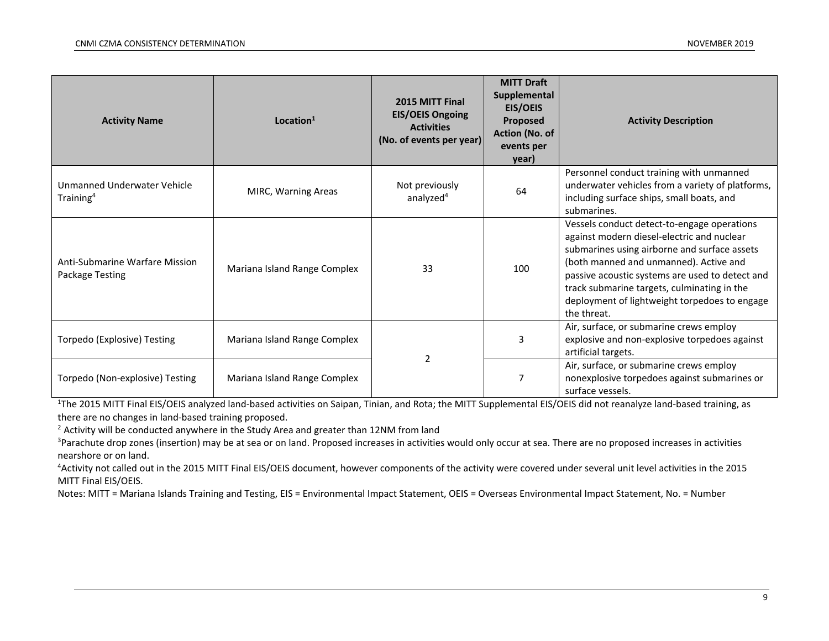| <b>Activity Name</b>                                        | Location <sup>1</sup>        | 2015 MITT Final<br><b>EIS/OEIS Ongoing</b><br><b>Activities</b><br>(No. of events per year) | <b>MITT Draft</b><br>Supplemental<br><b>EIS/OEIS</b><br>Proposed<br>Action (No. of<br>events per<br>year) | <b>Activity Description</b>                                                                                                                                                                                                                                                                                                                           |
|-------------------------------------------------------------|------------------------------|---------------------------------------------------------------------------------------------|-----------------------------------------------------------------------------------------------------------|-------------------------------------------------------------------------------------------------------------------------------------------------------------------------------------------------------------------------------------------------------------------------------------------------------------------------------------------------------|
| Unmanned Underwater Vehicle<br>Training <sup>4</sup>        | MIRC, Warning Areas          | Not previously<br>analyzed <sup>4</sup>                                                     | 64                                                                                                        | Personnel conduct training with unmanned<br>underwater vehicles from a variety of platforms,<br>including surface ships, small boats, and<br>submarines.                                                                                                                                                                                              |
| Anti-Submarine Warfare Mission<br>Package Testing           | Mariana Island Range Complex | 33                                                                                          | 100                                                                                                       | Vessels conduct detect-to-engage operations<br>against modern diesel-electric and nuclear<br>submarines using airborne and surface assets<br>(both manned and unmanned). Active and<br>passive acoustic systems are used to detect and<br>track submarine targets, culminating in the<br>deployment of lightweight torpedoes to engage<br>the threat. |
| Mariana Island Range Complex<br>Torpedo (Explosive) Testing |                              | $\overline{2}$                                                                              | 3                                                                                                         | Air, surface, or submarine crews employ<br>explosive and non-explosive torpedoes against<br>artificial targets.                                                                                                                                                                                                                                       |
| Torpedo (Non-explosive) Testing                             | Mariana Island Range Complex |                                                                                             | 7                                                                                                         | Air, surface, or submarine crews employ<br>nonexplosive torpedoes against submarines or<br>surface vessels.                                                                                                                                                                                                                                           |

<sup>1</sup>The 2015 MITT Final EIS/OEIS analyzed land-based activities on Saipan, Tinian, and Rota; the MITT Supplemental EIS/OEIS did not reanalyze land-based training, as there are no changes in land-based training proposed.

<sup>2</sup> Activity will be conducted anywhere in the Study Area and greater than 12NM from land

<sup>3</sup>Parachute drop zones (insertion) may be at sea or on land. Proposed increases in activities would only occur at sea. There are no proposed increases in activities nearshore or on land.

<sup>4</sup>Activity not called out in the 2015 MITT Final EIS/OEIS document, however components of the activity were covered under several unit level activities in the 2015 MITT Final EIS/OEIS.

Notes: MITT = Mariana Islands Training and Testing, EIS = Environmental Impact Statement, OEIS = Overseas Environmental Impact Statement, No. = Number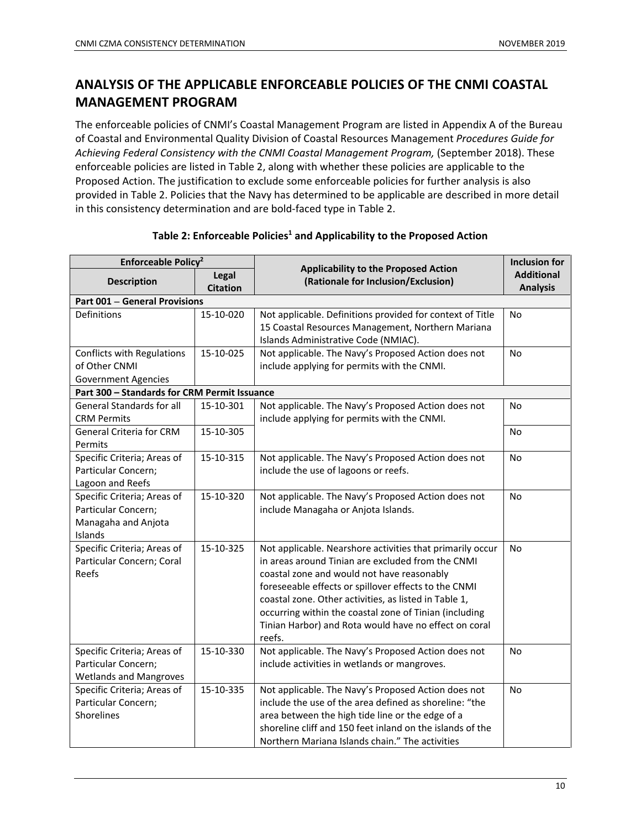### **ANALYSIS OF THE APPLICABLE ENFORCEABLE POLICIES OF THE CNMI COASTAL MANAGEMENT PROGRAM**

The enforceable policies of CNMI's Coastal Management Program are listed in Appendix A of the Bureau of Coastal and Environmental Quality Division of Coastal Resources Management *Procedures Guide for Achieving Federal Consistency with the CNMI Coastal Management Program,* (September 2018). These enforceable policies are listed in Table 2, along with whether these policies are applicable to the Proposed Action. The justification to exclude some enforceable policies for further analysis is also provided in Table 2. Policies that the Navy has determined to be applicable are described in more detail in this consistency determination and are bold-faced type in Table 2.

| Enforceable Policy <sup>2</sup>              |                 |                                                                                    | <b>Inclusion for</b> |
|----------------------------------------------|-----------------|------------------------------------------------------------------------------------|----------------------|
| <b>Description</b>                           | Legal           | <b>Applicability to the Proposed Action</b><br>(Rationale for Inclusion/Exclusion) | <b>Additional</b>    |
|                                              | <b>Citation</b> |                                                                                    | <b>Analysis</b>      |
| <b>Part 001 - General Provisions</b>         |                 |                                                                                    |                      |
| Definitions                                  | 15-10-020       | Not applicable. Definitions provided for context of Title                          | No                   |
|                                              |                 | 15 Coastal Resources Management, Northern Mariana                                  |                      |
|                                              |                 | Islands Administrative Code (NMIAC).                                               |                      |
| Conflicts with Regulations                   | 15-10-025       | Not applicable. The Navy's Proposed Action does not                                | <b>No</b>            |
| of Other CNMI                                |                 | include applying for permits with the CNMI.                                        |                      |
| <b>Government Agencies</b>                   |                 |                                                                                    |                      |
| Part 300 - Standards for CRM Permit Issuance |                 |                                                                                    |                      |
| <b>General Standards for all</b>             | 15-10-301       | Not applicable. The Navy's Proposed Action does not                                | No                   |
| <b>CRM Permits</b>                           |                 | include applying for permits with the CNMI.                                        |                      |
| <b>General Criteria for CRM</b>              | 15-10-305       |                                                                                    | No                   |
| Permits                                      |                 |                                                                                    |                      |
| Specific Criteria; Areas of                  | 15-10-315       | Not applicable. The Navy's Proposed Action does not                                | No                   |
| Particular Concern;                          |                 | include the use of lagoons or reefs.                                               |                      |
| Lagoon and Reefs                             |                 |                                                                                    |                      |
| Specific Criteria; Areas of                  | 15-10-320       | Not applicable. The Navy's Proposed Action does not                                | No                   |
| Particular Concern;                          |                 | include Managaha or Anjota Islands.                                                |                      |
| Managaha and Anjota                          |                 |                                                                                    |                      |
| Islands                                      |                 |                                                                                    |                      |
| Specific Criteria; Areas of                  | 15-10-325       | Not applicable. Nearshore activities that primarily occur                          | No                   |
| Particular Concern; Coral                    |                 | in areas around Tinian are excluded from the CNMI                                  |                      |
| Reefs                                        |                 | coastal zone and would not have reasonably                                         |                      |
|                                              |                 | foreseeable effects or spillover effects to the CNMI                               |                      |
|                                              |                 | coastal zone. Other activities, as listed in Table 1,                              |                      |
|                                              |                 | occurring within the coastal zone of Tinian (including                             |                      |
|                                              |                 | Tinian Harbor) and Rota would have no effect on coral                              |                      |
|                                              |                 | reefs.                                                                             |                      |
| Specific Criteria; Areas of                  | 15-10-330       | Not applicable. The Navy's Proposed Action does not                                | No                   |
| Particular Concern;                          |                 | include activities in wetlands or mangroves.                                       |                      |
| <b>Wetlands and Mangroves</b>                |                 |                                                                                    |                      |
| Specific Criteria; Areas of                  | 15-10-335       | Not applicable. The Navy's Proposed Action does not                                | No                   |
| Particular Concern;                          |                 | include the use of the area defined as shoreline: "the                             |                      |
| Shorelines                                   |                 | area between the high tide line or the edge of a                                   |                      |
|                                              |                 | shoreline cliff and 150 feet inland on the islands of the                          |                      |
|                                              |                 | Northern Mariana Islands chain." The activities                                    |                      |

#### **Table 2: Enforceable Policies1 and Applicability to the Proposed Action**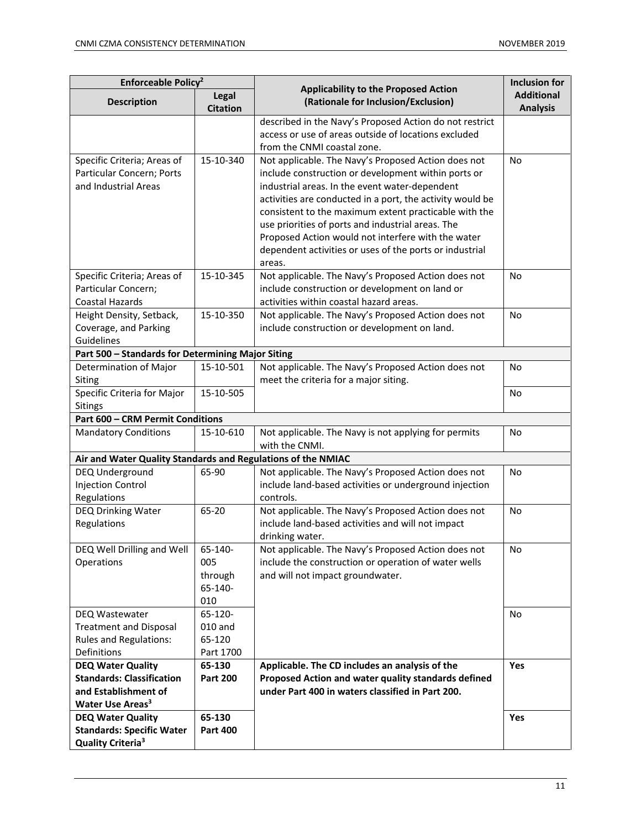| Enforceable Policy <sup>2</sup>                                                                                      |                                             |                                                                                                                                                                                                                                                                                                                                                                                                                                                                    | <b>Inclusion for</b>                 |
|----------------------------------------------------------------------------------------------------------------------|---------------------------------------------|--------------------------------------------------------------------------------------------------------------------------------------------------------------------------------------------------------------------------------------------------------------------------------------------------------------------------------------------------------------------------------------------------------------------------------------------------------------------|--------------------------------------|
| <b>Description</b>                                                                                                   | Legal<br><b>Citation</b>                    | <b>Applicability to the Proposed Action</b><br>(Rationale for Inclusion/Exclusion)                                                                                                                                                                                                                                                                                                                                                                                 | <b>Additional</b><br><b>Analysis</b> |
|                                                                                                                      |                                             | described in the Navy's Proposed Action do not restrict<br>access or use of areas outside of locations excluded<br>from the CNMI coastal zone.                                                                                                                                                                                                                                                                                                                     |                                      |
| Specific Criteria; Areas of<br>Particular Concern; Ports<br>and Industrial Areas                                     | 15-10-340                                   | Not applicable. The Navy's Proposed Action does not<br>include construction or development within ports or<br>industrial areas. In the event water-dependent<br>activities are conducted in a port, the activity would be<br>consistent to the maximum extent practicable with the<br>use priorities of ports and industrial areas. The<br>Proposed Action would not interfere with the water<br>dependent activities or uses of the ports or industrial<br>areas. | <b>No</b>                            |
| Specific Criteria; Areas of<br>Particular Concern;<br><b>Coastal Hazards</b>                                         | 15-10-345                                   | Not applicable. The Navy's Proposed Action does not<br>include construction or development on land or<br>activities within coastal hazard areas.                                                                                                                                                                                                                                                                                                                   | No                                   |
| Height Density, Setback,<br>Coverage, and Parking<br>Guidelines                                                      | 15-10-350                                   | Not applicable. The Navy's Proposed Action does not<br>include construction or development on land.                                                                                                                                                                                                                                                                                                                                                                | No                                   |
| Part 500 - Standards for Determining Major Siting                                                                    |                                             |                                                                                                                                                                                                                                                                                                                                                                                                                                                                    |                                      |
| Determination of Major<br>Siting                                                                                     | 15-10-501                                   | Not applicable. The Navy's Proposed Action does not<br>meet the criteria for a major siting.                                                                                                                                                                                                                                                                                                                                                                       | No                                   |
| Specific Criteria for Major<br>Sitings                                                                               | 15-10-505                                   |                                                                                                                                                                                                                                                                                                                                                                                                                                                                    | No                                   |
| <b>Part 600 - CRM Permit Conditions</b>                                                                              |                                             |                                                                                                                                                                                                                                                                                                                                                                                                                                                                    |                                      |
| <b>Mandatory Conditions</b>                                                                                          | 15-10-610                                   | Not applicable. The Navy is not applying for permits<br>with the CNMI.                                                                                                                                                                                                                                                                                                                                                                                             | No                                   |
| Air and Water Quality Standards and Regulations of the NMIAC                                                         |                                             |                                                                                                                                                                                                                                                                                                                                                                                                                                                                    |                                      |
| DEQ Underground<br><b>Injection Control</b><br>Regulations                                                           | 65-90                                       | Not applicable. The Navy's Proposed Action does not<br>include land-based activities or underground injection<br>controls.                                                                                                                                                                                                                                                                                                                                         | No                                   |
| DEQ Drinking Water<br>Regulations                                                                                    | 65-20                                       | Not applicable. The Navy's Proposed Action does not<br>include land-based activities and will not impact<br>drinking water.                                                                                                                                                                                                                                                                                                                                        | No                                   |
| DEQ Well Drilling and Well<br>Operations                                                                             | 65-140-<br>005<br>through<br>65-140-<br>010 | Not applicable. The Navy's Proposed Action does not<br>include the construction or operation of water wells<br>and will not impact groundwater.                                                                                                                                                                                                                                                                                                                    | No                                   |
| DEQ Wastewater<br><b>Treatment and Disposal</b><br><b>Rules and Regulations:</b><br>Definitions                      | 65-120-<br>010 and<br>65-120<br>Part 1700   |                                                                                                                                                                                                                                                                                                                                                                                                                                                                    | No                                   |
| <b>DEQ Water Quality</b><br><b>Standards: Classification</b><br>and Establishment of<br>Water Use Areas <sup>3</sup> | 65-130<br><b>Part 200</b>                   | Applicable. The CD includes an analysis of the<br>Proposed Action and water quality standards defined<br>under Part 400 in waters classified in Part 200.                                                                                                                                                                                                                                                                                                          | Yes                                  |
| <b>DEQ Water Quality</b><br><b>Standards: Specific Water</b><br>Quality Criteria <sup>3</sup>                        | 65-130<br><b>Part 400</b>                   |                                                                                                                                                                                                                                                                                                                                                                                                                                                                    | Yes                                  |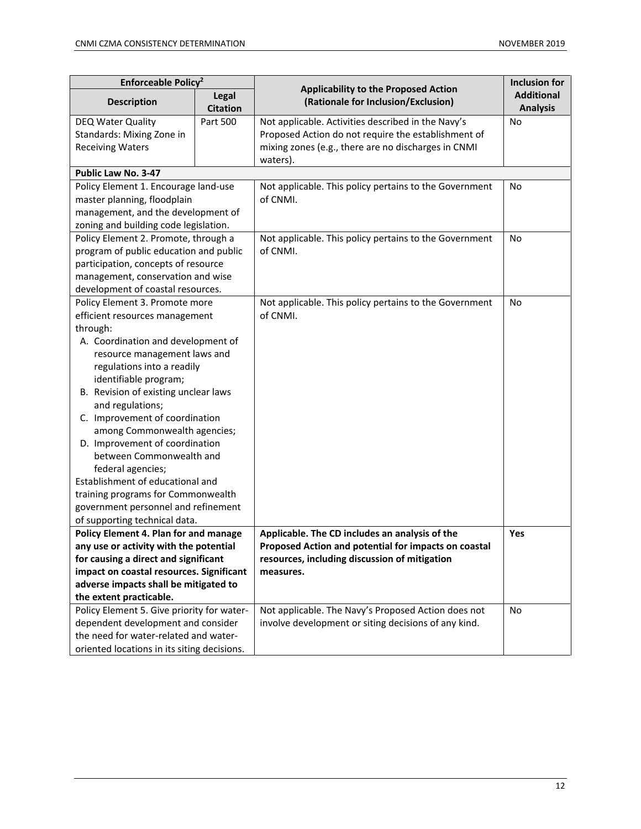| Enforceable Policy <sup>2</sup>                                |                          |                                                                                    | <b>Inclusion for</b>                 |
|----------------------------------------------------------------|--------------------------|------------------------------------------------------------------------------------|--------------------------------------|
| <b>Description</b>                                             | Legal<br><b>Citation</b> | <b>Applicability to the Proposed Action</b><br>(Rationale for Inclusion/Exclusion) | <b>Additional</b><br><b>Analysis</b> |
| DEQ Water Quality                                              | Part 500                 | Not applicable. Activities described in the Navy's                                 | <b>No</b>                            |
| Standards: Mixing Zone in                                      |                          | Proposed Action do not require the establishment of                                |                                      |
| <b>Receiving Waters</b>                                        |                          | mixing zones (e.g., there are no discharges in CNMI                                |                                      |
|                                                                |                          | waters).                                                                           |                                      |
| Public Law No. 3-47                                            |                          |                                                                                    |                                      |
| Policy Element 1. Encourage land-use                           |                          | Not applicable. This policy pertains to the Government                             | No                                   |
| master planning, floodplain                                    |                          | of CNMI.                                                                           |                                      |
| management, and the development of                             |                          |                                                                                    |                                      |
| zoning and building code legislation.                          |                          |                                                                                    |                                      |
| Policy Element 2. Promote, through a                           |                          | Not applicable. This policy pertains to the Government                             | No                                   |
| program of public education and public                         |                          | of CNMI.                                                                           |                                      |
| participation, concepts of resource                            |                          |                                                                                    |                                      |
| management, conservation and wise                              |                          |                                                                                    |                                      |
| development of coastal resources.                              |                          |                                                                                    |                                      |
| Policy Element 3. Promote more                                 |                          | Not applicable. This policy pertains to the Government                             | No                                   |
| efficient resources management                                 |                          | of CNMI.                                                                           |                                      |
| through:                                                       |                          |                                                                                    |                                      |
| A. Coordination and development of                             |                          |                                                                                    |                                      |
| resource management laws and                                   |                          |                                                                                    |                                      |
| regulations into a readily                                     |                          |                                                                                    |                                      |
| identifiable program;                                          |                          |                                                                                    |                                      |
| B. Revision of existing unclear laws                           |                          |                                                                                    |                                      |
| and regulations;                                               |                          |                                                                                    |                                      |
| C. Improvement of coordination                                 |                          |                                                                                    |                                      |
| among Commonwealth agencies;<br>D. Improvement of coordination |                          |                                                                                    |                                      |
| between Commonwealth and                                       |                          |                                                                                    |                                      |
| federal agencies;                                              |                          |                                                                                    |                                      |
| Establishment of educational and                               |                          |                                                                                    |                                      |
| training programs for Commonwealth                             |                          |                                                                                    |                                      |
| government personnel and refinement                            |                          |                                                                                    |                                      |
| of supporting technical data.                                  |                          |                                                                                    |                                      |
| Policy Element 4. Plan for and manage                          |                          | Applicable. The CD includes an analysis of the                                     | Yes                                  |
| any use or activity with the potential                         |                          | Proposed Action and potential for impacts on coastal                               |                                      |
| for causing a direct and significant                           |                          | resources, including discussion of mitigation                                      |                                      |
| impact on coastal resources. Significant                       |                          | measures.                                                                          |                                      |
| adverse impacts shall be mitigated to                          |                          |                                                                                    |                                      |
| the extent practicable.                                        |                          |                                                                                    |                                      |
| Policy Element 5. Give priority for water-                     |                          | Not applicable. The Navy's Proposed Action does not                                | No                                   |
| dependent development and consider                             |                          | involve development or siting decisions of any kind.                               |                                      |
| the need for water-related and water-                          |                          |                                                                                    |                                      |
| oriented locations in its siting decisions.                    |                          |                                                                                    |                                      |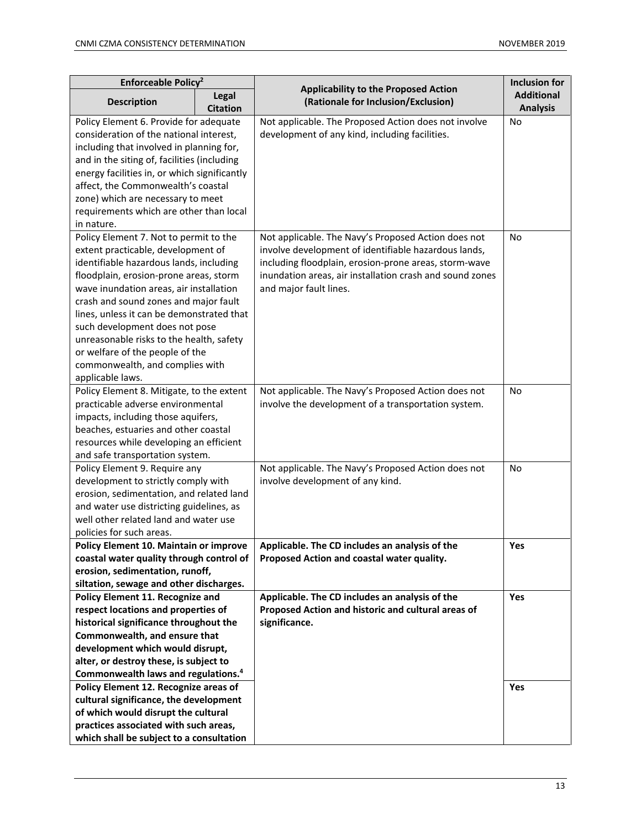| Enforceable Policy <sup>2</sup>                 |                          |                                                                                    | <b>Inclusion for</b>                 |
|-------------------------------------------------|--------------------------|------------------------------------------------------------------------------------|--------------------------------------|
| <b>Description</b>                              | Legal<br><b>Citation</b> | <b>Applicability to the Proposed Action</b><br>(Rationale for Inclusion/Exclusion) | <b>Additional</b><br><b>Analysis</b> |
| Policy Element 6. Provide for adequate          |                          | Not applicable. The Proposed Action does not involve                               | No                                   |
| consideration of the national interest,         |                          | development of any kind, including facilities.                                     |                                      |
| including that involved in planning for,        |                          |                                                                                    |                                      |
| and in the siting of, facilities (including     |                          |                                                                                    |                                      |
| energy facilities in, or which significantly    |                          |                                                                                    |                                      |
| affect, the Commonwealth's coastal              |                          |                                                                                    |                                      |
| zone) which are necessary to meet               |                          |                                                                                    |                                      |
| requirements which are other than local         |                          |                                                                                    |                                      |
| in nature.                                      |                          |                                                                                    |                                      |
| Policy Element 7. Not to permit to the          |                          | Not applicable. The Navy's Proposed Action does not                                | No                                   |
| extent practicable, development of              |                          | involve development of identifiable hazardous lands,                               |                                      |
| identifiable hazardous lands, including         |                          | including floodplain, erosion-prone areas, storm-wave                              |                                      |
| floodplain, erosion-prone areas, storm          |                          | inundation areas, air installation crash and sound zones                           |                                      |
| wave inundation areas, air installation         |                          | and major fault lines.                                                             |                                      |
| crash and sound zones and major fault           |                          |                                                                                    |                                      |
| lines, unless it can be demonstrated that       |                          |                                                                                    |                                      |
| such development does not pose                  |                          |                                                                                    |                                      |
| unreasonable risks to the health, safety        |                          |                                                                                    |                                      |
| or welfare of the people of the                 |                          |                                                                                    |                                      |
| commonwealth, and complies with                 |                          |                                                                                    |                                      |
| applicable laws.                                |                          |                                                                                    |                                      |
| Policy Element 8. Mitigate, to the extent       |                          | Not applicable. The Navy's Proposed Action does not                                | No                                   |
| practicable adverse environmental               |                          | involve the development of a transportation system.                                |                                      |
| impacts, including those aquifers,              |                          |                                                                                    |                                      |
| beaches, estuaries and other coastal            |                          |                                                                                    |                                      |
| resources while developing an efficient         |                          |                                                                                    |                                      |
| and safe transportation system.                 |                          |                                                                                    |                                      |
| Policy Element 9. Require any                   |                          | Not applicable. The Navy's Proposed Action does not                                | No                                   |
| development to strictly comply with             |                          | involve development of any kind.                                                   |                                      |
| erosion, sedimentation, and related land        |                          |                                                                                    |                                      |
| and water use districting guidelines, as        |                          |                                                                                    |                                      |
| well other related land and water use           |                          |                                                                                    |                                      |
| policies for such areas.                        |                          |                                                                                    |                                      |
| <b>Policy Element 10. Maintain or improve</b>   |                          | Applicable. The CD includes an analysis of the                                     | Yes                                  |
| coastal water quality through control of        |                          | Proposed Action and coastal water quality.                                         |                                      |
| erosion, sedimentation, runoff,                 |                          |                                                                                    |                                      |
| siltation, sewage and other discharges.         |                          |                                                                                    |                                      |
| Policy Element 11. Recognize and                |                          | Applicable. The CD includes an analysis of the                                     | Yes                                  |
| respect locations and properties of             |                          | Proposed Action and historic and cultural areas of                                 |                                      |
| historical significance throughout the          |                          | significance.                                                                      |                                      |
| Commonwealth, and ensure that                   |                          |                                                                                    |                                      |
| development which would disrupt,                |                          |                                                                                    |                                      |
| alter, or destroy these, is subject to          |                          |                                                                                    |                                      |
| Commonwealth laws and regulations. <sup>4</sup> |                          |                                                                                    |                                      |
| Policy Element 12. Recognize areas of           |                          |                                                                                    | Yes                                  |
| cultural significance, the development          |                          |                                                                                    |                                      |
| of which would disrupt the cultural             |                          |                                                                                    |                                      |
| practices associated with such areas,           |                          |                                                                                    |                                      |
| which shall be subject to a consultation        |                          |                                                                                    |                                      |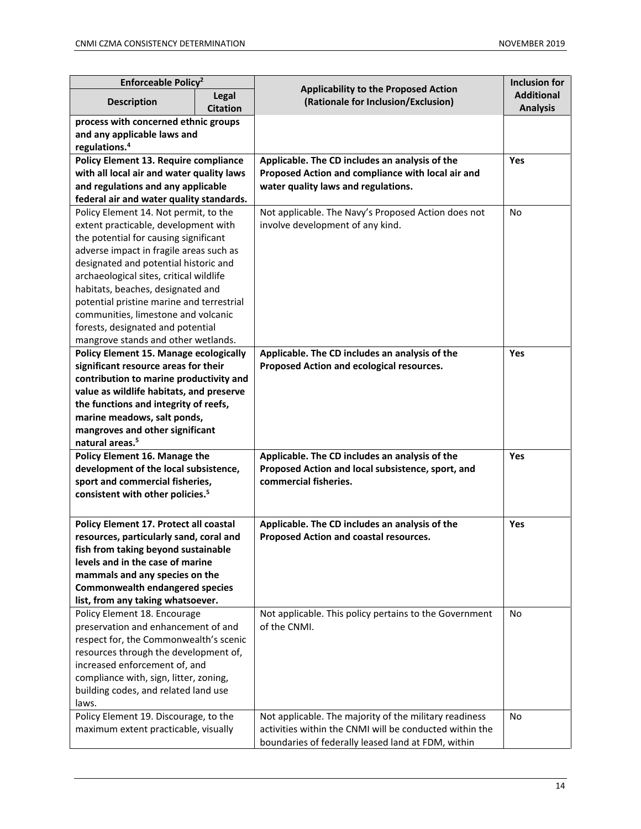| Enforceable Policy <sup>2</sup>                                          |                          |                                                                                    | <b>Inclusion for</b>                 |
|--------------------------------------------------------------------------|--------------------------|------------------------------------------------------------------------------------|--------------------------------------|
| <b>Description</b>                                                       | Legal<br><b>Citation</b> | <b>Applicability to the Proposed Action</b><br>(Rationale for Inclusion/Exclusion) | <b>Additional</b><br><b>Analysis</b> |
| process with concerned ethnic groups                                     |                          |                                                                                    |                                      |
| and any applicable laws and                                              |                          |                                                                                    |                                      |
| regulations. <sup>4</sup>                                                |                          |                                                                                    |                                      |
| Policy Element 13. Require compliance                                    |                          | Applicable. The CD includes an analysis of the                                     | <b>Yes</b>                           |
| with all local air and water quality laws                                |                          | Proposed Action and compliance with local air and                                  |                                      |
| and regulations and any applicable                                       |                          | water quality laws and regulations.                                                |                                      |
| federal air and water quality standards.                                 |                          |                                                                                    |                                      |
| Policy Element 14. Not permit, to the                                    |                          | Not applicable. The Navy's Proposed Action does not                                | <b>No</b>                            |
| extent practicable, development with                                     |                          | involve development of any kind.                                                   |                                      |
| the potential for causing significant                                    |                          |                                                                                    |                                      |
| adverse impact in fragile areas such as                                  |                          |                                                                                    |                                      |
| designated and potential historic and                                    |                          |                                                                                    |                                      |
| archaeological sites, critical wildlife                                  |                          |                                                                                    |                                      |
| habitats, beaches, designated and                                        |                          |                                                                                    |                                      |
| potential pristine marine and terrestrial                                |                          |                                                                                    |                                      |
| communities, limestone and volcanic                                      |                          |                                                                                    |                                      |
| forests, designated and potential<br>mangrove stands and other wetlands. |                          |                                                                                    |                                      |
| <b>Policy Element 15. Manage ecologically</b>                            |                          | Applicable. The CD includes an analysis of the                                     | Yes                                  |
| significant resource areas for their                                     |                          | Proposed Action and ecological resources.                                          |                                      |
| contribution to marine productivity and                                  |                          |                                                                                    |                                      |
| value as wildlife habitats, and preserve                                 |                          |                                                                                    |                                      |
| the functions and integrity of reefs,                                    |                          |                                                                                    |                                      |
| marine meadows, salt ponds,                                              |                          |                                                                                    |                                      |
| mangroves and other significant                                          |                          |                                                                                    |                                      |
| natural areas. <sup>5</sup>                                              |                          |                                                                                    |                                      |
| Policy Element 16. Manage the                                            |                          | Applicable. The CD includes an analysis of the                                     | <b>Yes</b>                           |
| development of the local subsistence,                                    |                          | Proposed Action and local subsistence, sport, and                                  |                                      |
| sport and commercial fisheries,                                          |                          | commercial fisheries.                                                              |                                      |
| consistent with other policies. <sup>5</sup>                             |                          |                                                                                    |                                      |
|                                                                          |                          |                                                                                    |                                      |
| Policy Element 17. Protect all coastal                                   |                          | Applicable. The CD includes an analysis of the                                     | Yes                                  |
| resources, particularly sand, coral and                                  |                          | Proposed Action and coastal resources.                                             |                                      |
| fish from taking beyond sustainable                                      |                          |                                                                                    |                                      |
| levels and in the case of marine                                         |                          |                                                                                    |                                      |
| mammals and any species on the                                           |                          |                                                                                    |                                      |
| <b>Commonwealth endangered species</b>                                   |                          |                                                                                    |                                      |
| list, from any taking whatsoever.                                        |                          |                                                                                    |                                      |
| Policy Element 18. Encourage                                             |                          | Not applicable. This policy pertains to the Government                             | No                                   |
| preservation and enhancement of and                                      |                          | of the CNMI.                                                                       |                                      |
| respect for, the Commonwealth's scenic                                   |                          |                                                                                    |                                      |
| resources through the development of,                                    |                          |                                                                                    |                                      |
| increased enforcement of, and                                            |                          |                                                                                    |                                      |
| compliance with, sign, litter, zoning,                                   |                          |                                                                                    |                                      |
| building codes, and related land use                                     |                          |                                                                                    |                                      |
| laws.                                                                    |                          |                                                                                    |                                      |
| Policy Element 19. Discourage, to the                                    |                          | Not applicable. The majority of the military readiness                             | No                                   |
| maximum extent practicable, visually                                     |                          | activities within the CNMI will be conducted within the                            |                                      |
|                                                                          |                          | boundaries of federally leased land at FDM, within                                 |                                      |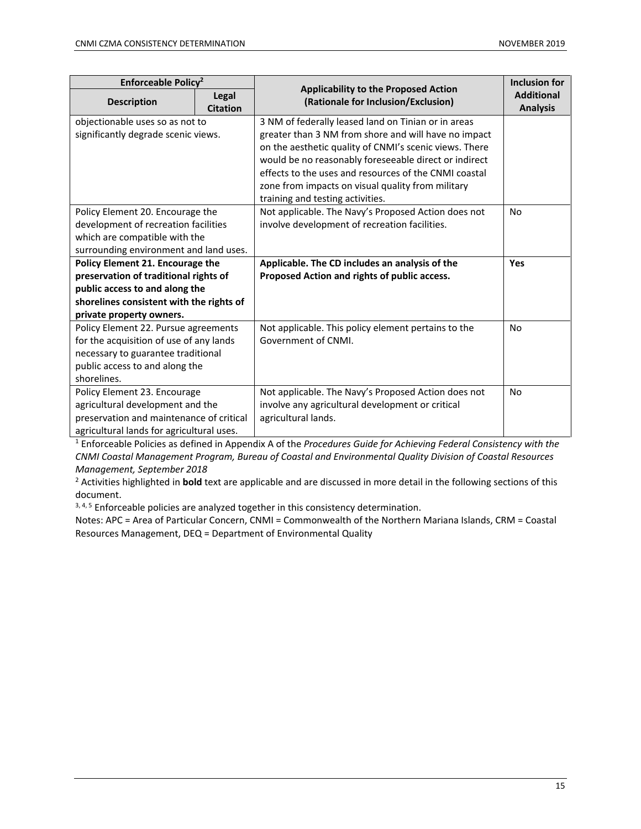| Enforceable Policy <sup>2</sup>           |                          |                                                                                    | <b>Inclusion for</b>                 |
|-------------------------------------------|--------------------------|------------------------------------------------------------------------------------|--------------------------------------|
| <b>Description</b>                        | Legal<br><b>Citation</b> | <b>Applicability to the Proposed Action</b><br>(Rationale for Inclusion/Exclusion) | <b>Additional</b><br><b>Analysis</b> |
| objectionable uses so as not to           |                          | 3 NM of federally leased land on Tinian or in areas                                |                                      |
| significantly degrade scenic views.       |                          | greater than 3 NM from shore and will have no impact                               |                                      |
|                                           |                          | on the aesthetic quality of CNMI's scenic views. There                             |                                      |
|                                           |                          | would be no reasonably foreseeable direct or indirect                              |                                      |
|                                           |                          | effects to the uses and resources of the CNMI coastal                              |                                      |
|                                           |                          | zone from impacts on visual quality from military                                  |                                      |
|                                           |                          | training and testing activities.                                                   |                                      |
| Policy Element 20. Encourage the          |                          | Not applicable. The Navy's Proposed Action does not                                | No                                   |
| development of recreation facilities      |                          | involve development of recreation facilities.                                      |                                      |
| which are compatible with the             |                          |                                                                                    |                                      |
| surrounding environment and land uses.    |                          |                                                                                    |                                      |
| Policy Element 21. Encourage the          |                          | Applicable. The CD includes an analysis of the                                     | Yes                                  |
| preservation of traditional rights of     |                          | Proposed Action and rights of public access.                                       |                                      |
| public access to and along the            |                          |                                                                                    |                                      |
| shorelines consistent with the rights of  |                          |                                                                                    |                                      |
| private property owners.                  |                          |                                                                                    |                                      |
| Policy Element 22. Pursue agreements      |                          | Not applicable. This policy element pertains to the                                | No                                   |
| for the acquisition of use of any lands   |                          | Government of CNMI.                                                                |                                      |
| necessary to guarantee traditional        |                          |                                                                                    |                                      |
| public access to and along the            |                          |                                                                                    |                                      |
| shorelines.                               |                          |                                                                                    |                                      |
| Policy Element 23. Encourage              |                          | Not applicable. The Navy's Proposed Action does not                                | No                                   |
| agricultural development and the          |                          | involve any agricultural development or critical                                   |                                      |
| preservation and maintenance of critical  |                          | agricultural lands.                                                                |                                      |
| agricultural lands for agricultural uses. |                          |                                                                                    |                                      |

<sup>1</sup> Enforceable Policies as defined in Appendix A of the *Procedures Guide for Achieving Federal Consistency with the CNMI Coastal Management Program, Bureau of Coastal and Environmental Quality Division of Coastal Resources Management, September 2018*

<sup>2</sup> Activities highlighted in **bold** text are applicable and are discussed in more detail in the following sections of this document.

3, 4, 5 Enforceable policies are analyzed together in this consistency determination.

Notes: APC = Area of Particular Concern, CNMI = Commonwealth of the Northern Mariana Islands, CRM = Coastal Resources Management, DEQ = Department of Environmental Quality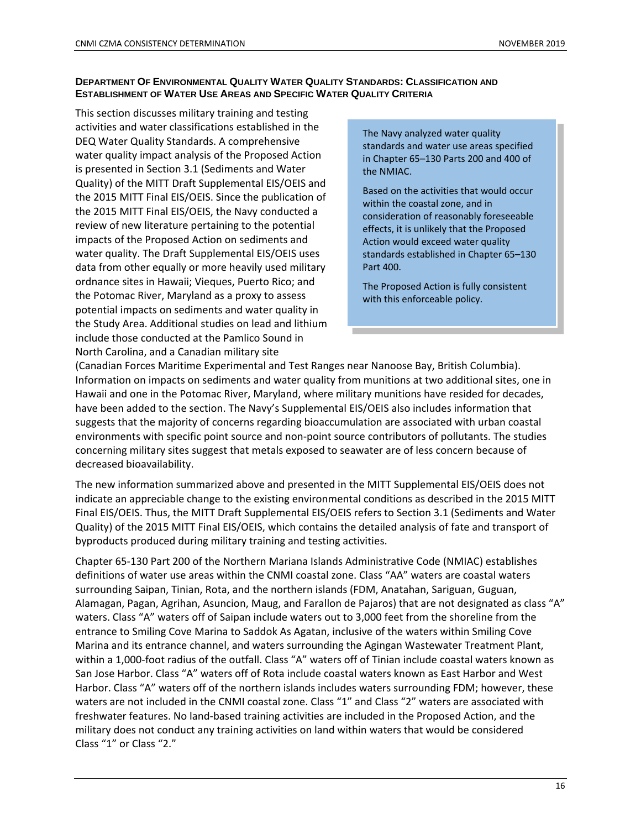#### **DEPARTMENT OF ENVIRONMENTAL QUALITY WATER QUALITY STANDARDS: CLASSIFICATION AND ESTABLISHMENT OF WATER USE AREAS AND SPECIFIC WATER QUALITY CRITERIA**

This section discusses military training and testing activities and water classifications established in the DEQ Water Quality Standards. A comprehensive water quality impact analysis of the Proposed Action is presented in Section 3.1 (Sediments and Water Quality) of the MITT Draft Supplemental EIS/OEIS and the 2015 MITT Final EIS/OEIS. Since the publication of the 2015 MITT Final EIS/OEIS, the Navy conducted a review of new literature pertaining to the potential impacts of the Proposed Action on sediments and water quality. The Draft Supplemental EIS/OEIS uses data from other equally or more heavily used military ordnance sites in Hawaii; Vieques, Puerto Rico; and the Potomac River, Maryland as a proxy to assess potential impacts on sediments and water quality in the Study Area. Additional studies on lead and lithium include those conducted at the Pamlico Sound in North Carolina, and a Canadian military site

The Navy analyzed water quality standards and water use areas specified in Chapter 65–130 Parts 200 and 400 of the NMIAC.

Based on the activities that would occur within the coastal zone, and in consideration of reasonably foreseeable effects, it is unlikely that the Proposed Action would exceed water quality standards established in Chapter 65–130 Part 400.

The Proposed Action is fully consistent with this enforceable policy.

(Canadian Forces Maritime Experimental and Test Ranges near Nanoose Bay, British Columbia). Information on impacts on sediments and water quality from munitions at two additional sites, one in Hawaii and one in the Potomac River, Maryland, where military munitions have resided for decades, have been added to the section. The Navy's Supplemental EIS/OEIS also includes information that suggests that the majority of concerns regarding bioaccumulation are associated with urban coastal environments with specific point source and non-point source contributors of pollutants. The studies concerning military sites suggest that metals exposed to seawater are of less concern because of decreased bioavailability.

The new information summarized above and presented in the MITT Supplemental EIS/OEIS does not indicate an appreciable change to the existing environmental conditions as described in the 2015 MITT Final EIS/OEIS. Thus, the MITT Draft Supplemental EIS/OEIS refers to Section 3.1 (Sediments and Water Quality) of the 2015 MITT Final EIS/OEIS, which contains the detailed analysis of fate and transport of byproducts produced during military training and testing activities.

Chapter 65-130 Part 200 of the Northern Mariana Islands Administrative Code (NMIAC) establishes definitions of water use areas within the CNMI coastal zone. Class "AA" waters are coastal waters surrounding Saipan, Tinian, Rota, and the northern islands (FDM, Anatahan, Sariguan, Guguan, Alamagan, Pagan, Agrihan, Asuncion, Maug, and Farallon de Pajaros) that are not designated as class "A" waters. Class "A" waters off of Saipan include waters out to 3,000 feet from the shoreline from the entrance to Smiling Cove Marina to Saddok As Agatan, inclusive of the waters within Smiling Cove Marina and its entrance channel, and waters surrounding the Agingan Wastewater Treatment Plant, within a 1,000-foot radius of the outfall. Class "A" waters off of Tinian include coastal waters known as San Jose Harbor. Class "A" waters off of Rota include coastal waters known as East Harbor and West Harbor. Class "A" waters off of the northern islands includes waters surrounding FDM; however, these waters are not included in the CNMI coastal zone. Class "1" and Class "2" waters are associated with freshwater features. No land-based training activities are included in the Proposed Action, and the military does not conduct any training activities on land within waters that would be considered Class "1" or Class "2."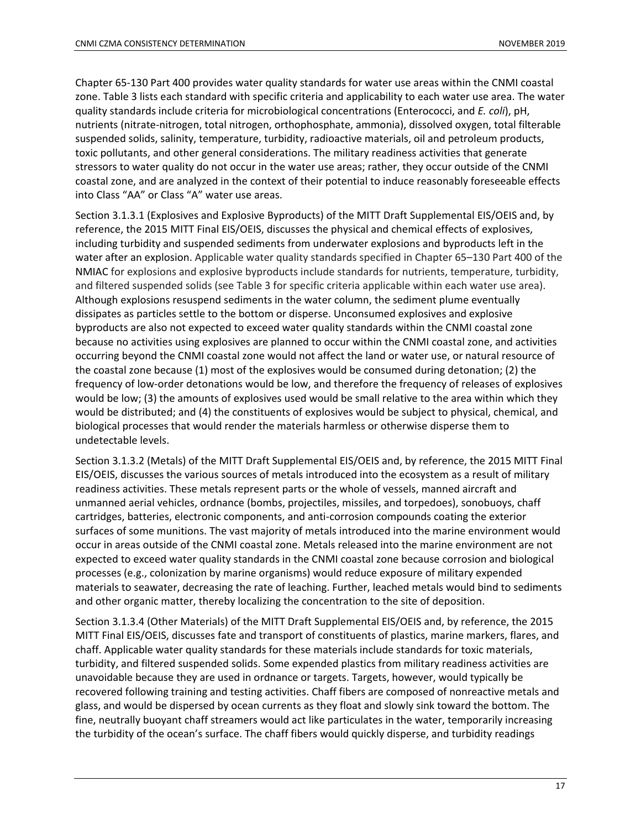Chapter 65-130 Part 400 provides water quality standards for water use areas within the CNMI coastal zone. Table 3 lists each standard with specific criteria and applicability to each water use area. The water quality standards include criteria for microbiological concentrations (Enterococci, and *E. coli*), pH, nutrients (nitrate-nitrogen, total nitrogen, orthophosphate, ammonia), dissolved oxygen, total filterable suspended solids, salinity, temperature, turbidity, radioactive materials, oil and petroleum products, toxic pollutants, and other general considerations. The military readiness activities that generate stressors to water quality do not occur in the water use areas; rather, they occur outside of the CNMI coastal zone, and are analyzed in the context of their potential to induce reasonably foreseeable effects into Class "AA" or Class "A" water use areas.

Section 3.1.3.1 (Explosives and Explosive Byproducts) of the MITT Draft Supplemental EIS/OEIS and, by reference, the 2015 MITT Final EIS/OEIS, discusses the physical and chemical effects of explosives, including turbidity and suspended sediments from underwater explosions and byproducts left in the water after an explosion. Applicable water quality standards specified in Chapter 65–130 Part 400 of the NMIAC for explosions and explosive byproducts include standards for nutrients, temperature, turbidity, and filtered suspended solids (see Table 3 for specific criteria applicable within each water use area). Although explosions resuspend sediments in the water column, the sediment plume eventually dissipates as particles settle to the bottom or disperse. Unconsumed explosives and explosive byproducts are also not expected to exceed water quality standards within the CNMI coastal zone because no activities using explosives are planned to occur within the CNMI coastal zone, and activities occurring beyond the CNMI coastal zone would not affect the land or water use, or natural resource of the coastal zone because (1) most of the explosives would be consumed during detonation; (2) the frequency of low-order detonations would be low, and therefore the frequency of releases of explosives would be low; (3) the amounts of explosives used would be small relative to the area within which they would be distributed; and (4) the constituents of explosives would be subject to physical, chemical, and biological processes that would render the materials harmless or otherwise disperse them to undetectable levels.

Section 3.1.3.2 (Metals) of the MITT Draft Supplemental EIS/OEIS and, by reference, the 2015 MITT Final EIS/OEIS, discusses the various sources of metals introduced into the ecosystem as a result of military readiness activities. These metals represent parts or the whole of vessels, manned aircraft and unmanned aerial vehicles, ordnance (bombs, projectiles, missiles, and torpedoes), sonobuoys, chaff cartridges, batteries, electronic components, and anti-corrosion compounds coating the exterior surfaces of some munitions. The vast majority of metals introduced into the marine environment would occur in areas outside of the CNMI coastal zone. Metals released into the marine environment are not expected to exceed water quality standards in the CNMI coastal zone because corrosion and biological processes (e.g., colonization by marine organisms) would reduce exposure of military expended materials to seawater, decreasing the rate of leaching. Further, leached metals would bind to sediments and other organic matter, thereby localizing the concentration to the site of deposition.

Section 3.1.3.4 (Other Materials) of the MITT Draft Supplemental EIS/OEIS and, by reference, the 2015 MITT Final EIS/OEIS, discusses fate and transport of constituents of plastics, marine markers, flares, and chaff. Applicable water quality standards for these materials include standards for toxic materials, turbidity, and filtered suspended solids. Some expended plastics from military readiness activities are unavoidable because they are used in ordnance or targets. Targets, however, would typically be recovered following training and testing activities. Chaff fibers are composed of nonreactive metals and glass, and would be dispersed by ocean currents as they float and slowly sink toward the bottom. The fine, neutrally buoyant chaff streamers would act like particulates in the water, temporarily increasing the turbidity of the ocean's surface. The chaff fibers would quickly disperse, and turbidity readings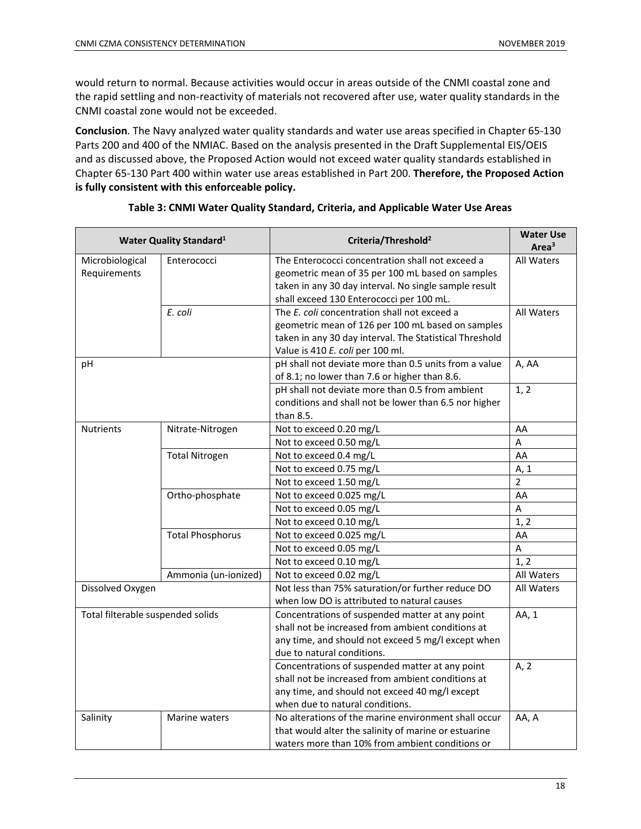would return to normal. Because activities would occur in areas outside of the CNMI coastal zone and the rapid settling and non-reactivity of materials not recovered after use, water quality standards in the CNMI coastal zone would not be exceeded.

**Conclusion**. The Navy analyzed water quality standards and water use areas specified in Chapter 65-130 Parts 200 and 400 of the NMIAC. Based on the analysis presented in the Draft Supplemental EIS/OEIS and as discussed above, the Proposed Action would not exceed water quality standards established in Chapter 65-130 Part 400 within water use areas established in Part 200. **Therefore, the Proposed Action is fully consistent with this enforceable policy.** 

|                                   | <b>Water Quality Standard</b> <sup>1</sup> | Criteria/Threshold <sup>2</sup>                         | <b>Water Use</b><br>Area <sup>3</sup> |
|-----------------------------------|--------------------------------------------|---------------------------------------------------------|---------------------------------------|
| Microbiological                   | Enterococci                                | The Enterococci concentration shall not exceed a        | All Waters                            |
| Requirements                      |                                            | geometric mean of 35 per 100 mL based on samples        |                                       |
|                                   |                                            | taken in any 30 day interval. No single sample result   |                                       |
|                                   |                                            | shall exceed 130 Enterococci per 100 mL.                |                                       |
|                                   | E. coli                                    | The E. coli concentration shall not exceed a            | All Waters                            |
|                                   |                                            | geometric mean of 126 per 100 mL based on samples       |                                       |
|                                   |                                            | taken in any 30 day interval. The Statistical Threshold |                                       |
|                                   |                                            | Value is 410 E. coli per 100 ml.                        |                                       |
| pH                                |                                            | pH shall not deviate more than 0.5 units from a value   | A, AA                                 |
|                                   |                                            | of 8.1; no lower than 7.6 or higher than 8.6.           |                                       |
|                                   |                                            | pH shall not deviate more than 0.5 from ambient         | 1, 2                                  |
|                                   |                                            | conditions and shall not be lower than 6.5 nor higher   |                                       |
|                                   |                                            | than 8.5.                                               |                                       |
| <b>Nutrients</b>                  | Nitrate-Nitrogen                           | Not to exceed 0.20 mg/L                                 | AA                                    |
|                                   |                                            | Not to exceed 0.50 mg/L                                 | A                                     |
|                                   | <b>Total Nitrogen</b>                      | Not to exceed 0.4 mg/L                                  | AA                                    |
|                                   |                                            | Not to exceed 0.75 mg/L                                 | A, 1                                  |
|                                   |                                            | Not to exceed 1.50 mg/L                                 | $\overline{2}$                        |
|                                   | Ortho-phosphate                            | Not to exceed 0.025 mg/L                                | AA                                    |
|                                   |                                            | Not to exceed 0.05 mg/L                                 | A                                     |
|                                   |                                            | Not to exceed 0.10 mg/L                                 | 1, 2                                  |
|                                   | <b>Total Phosphorus</b>                    | Not to exceed 0.025 mg/L                                | AA                                    |
|                                   |                                            | Not to exceed 0.05 mg/L                                 | A                                     |
|                                   |                                            | Not to exceed 0.10 mg/L                                 | 1, 2                                  |
|                                   | Ammonia (un-ionized)                       | Not to exceed 0.02 mg/L                                 | All Waters                            |
| Dissolved Oxygen                  |                                            | Not less than 75% saturation/or further reduce DO       | All Waters                            |
|                                   |                                            | when low DO is attributed to natural causes             |                                       |
| Total filterable suspended solids |                                            | Concentrations of suspended matter at any point         | AA, 1                                 |
|                                   |                                            | shall not be increased from ambient conditions at       |                                       |
|                                   |                                            | any time, and should not exceed 5 mg/l except when      |                                       |
|                                   |                                            | due to natural conditions.                              |                                       |
|                                   |                                            | Concentrations of suspended matter at any point         | A, 2                                  |
|                                   |                                            | shall not be increased from ambient conditions at       |                                       |
|                                   |                                            | any time, and should not exceed 40 mg/l except          |                                       |
|                                   |                                            | when due to natural conditions.                         |                                       |
| Salinity                          | Marine waters                              | No alterations of the marine environment shall occur    | AA, A                                 |
|                                   |                                            | that would alter the salinity of marine or estuarine    |                                       |
|                                   |                                            | waters more than 10% from ambient conditions or         |                                       |

#### **Table 3: CNMI Water Quality Standard, Criteria, and Applicable Water Use Areas**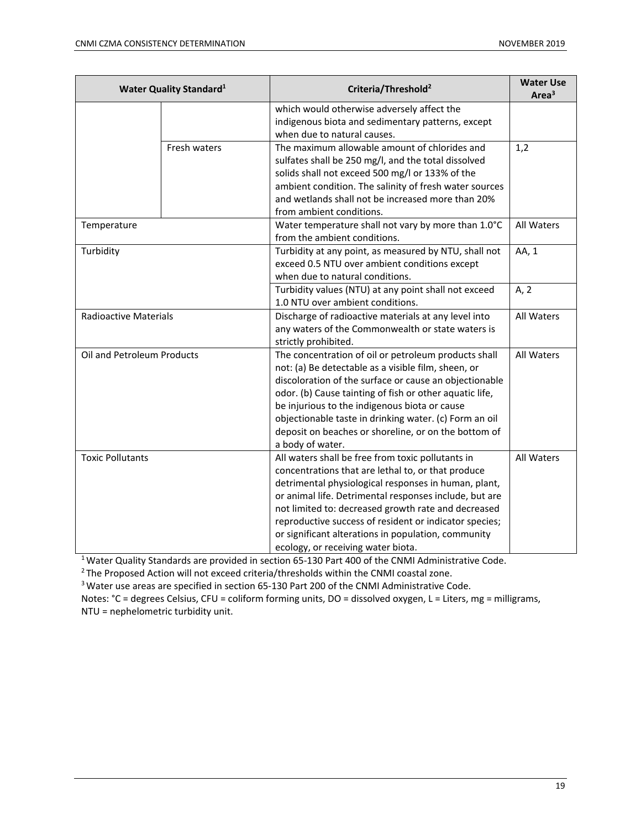| <b>Water Quality Standard</b> <sup>1</sup> |              | Criteria/Threshold <sup>2</sup>                                                                                                                                                                                                                                                                                                                                                                                                         | <b>Water Use</b><br>Area <sup>3</sup> |
|--------------------------------------------|--------------|-----------------------------------------------------------------------------------------------------------------------------------------------------------------------------------------------------------------------------------------------------------------------------------------------------------------------------------------------------------------------------------------------------------------------------------------|---------------------------------------|
|                                            |              | which would otherwise adversely affect the<br>indigenous biota and sedimentary patterns, except<br>when due to natural causes.                                                                                                                                                                                                                                                                                                          |                                       |
|                                            | Fresh waters | The maximum allowable amount of chlorides and<br>sulfates shall be 250 mg/l, and the total dissolved<br>solids shall not exceed 500 mg/l or 133% of the<br>ambient condition. The salinity of fresh water sources<br>and wetlands shall not be increased more than 20%<br>from ambient conditions.                                                                                                                                      | 1,2                                   |
| Temperature                                |              | Water temperature shall not vary by more than 1.0°C<br>from the ambient conditions.                                                                                                                                                                                                                                                                                                                                                     | All Waters                            |
| Turbidity                                  |              | Turbidity at any point, as measured by NTU, shall not<br>exceed 0.5 NTU over ambient conditions except<br>when due to natural conditions.                                                                                                                                                                                                                                                                                               | AA, 1                                 |
|                                            |              | Turbidity values (NTU) at any point shall not exceed<br>1.0 NTU over ambient conditions.                                                                                                                                                                                                                                                                                                                                                | A, 2                                  |
| <b>Radioactive Materials</b>               |              | Discharge of radioactive materials at any level into<br>any waters of the Commonwealth or state waters is<br>strictly prohibited.                                                                                                                                                                                                                                                                                                       | All Waters                            |
| Oil and Petroleum Products                 |              | The concentration of oil or petroleum products shall<br>not: (a) Be detectable as a visible film, sheen, or<br>discoloration of the surface or cause an objectionable<br>odor. (b) Cause tainting of fish or other aquatic life,<br>be injurious to the indigenous biota or cause<br>objectionable taste in drinking water. (c) Form an oil<br>deposit on beaches or shoreline, or on the bottom of<br>a body of water.                 | All Waters                            |
| <b>Toxic Pollutants</b>                    |              | All waters shall be free from toxic pollutants in<br>concentrations that are lethal to, or that produce<br>detrimental physiological responses in human, plant,<br>or animal life. Detrimental responses include, but are<br>not limited to: decreased growth rate and decreased<br>reproductive success of resident or indicator species;<br>or significant alterations in population, community<br>ecology, or receiving water biota. | All Waters                            |

<sup>1</sup> Water Quality Standards are provided in section 65-130 Part 400 of the CNMI Administrative Code.<br><sup>2</sup> The Proposed Action will not exceed criteria/thresholds within the CNMI coastal zone.

<sup>3</sup> Water use areas are specified in section 65-130 Part 200 of the CNMI Administrative Code.

Notes: °C = degrees Celsius, CFU = coliform forming units, DO = dissolved oxygen, L = Liters, mg = milligrams, NTU = nephelometric turbidity unit.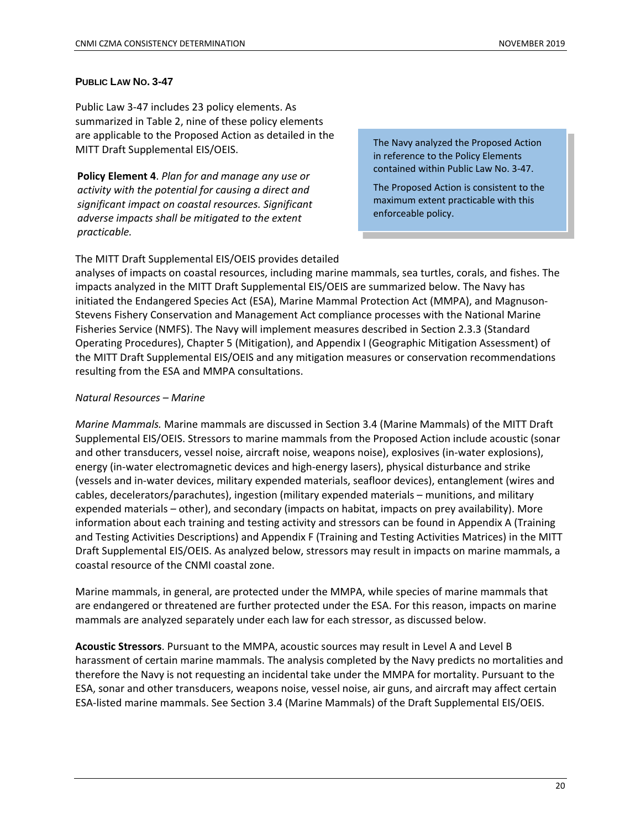#### **PUBLIC LAW NO. 3-47**

Public Law 3-47 includes 23 policy elements. As summarized in Table 2, nine of these policy elements are applicable to the Proposed Action as detailed in the MITT Draft Supplemental EIS/OEIS.

**Policy Element 4**. *Plan for and manage any use or activity with the potential for causing a direct and significant impact on coastal resources. Significant adverse impacts shall be mitigated to the extent practicable.*

The Navy analyzed the Proposed Action in reference to the Policy Elements contained within Public Law No. 3-47.

The Proposed Action is consistent to the maximum extent practicable with this enforceable policy.

The MITT Draft Supplemental EIS/OEIS provides detailed

analyses of impacts on coastal resources, including marine mammals, sea turtles, corals, and fishes. The impacts analyzed in the MITT Draft Supplemental EIS/OEIS are summarized below. The Navy has initiated the Endangered Species Act (ESA), Marine Mammal Protection Act (MMPA), and Magnuson-Stevens Fishery Conservation and Management Act compliance processes with the National Marine Fisheries Service (NMFS). The Navy will implement measures described in Section 2.3.3 (Standard Operating Procedures), Chapter 5 (Mitigation), and Appendix I (Geographic Mitigation Assessment) of the MITT Draft Supplemental EIS/OEIS and any mitigation measures or conservation recommendations resulting from the ESA and MMPA consultations.

#### *Natural Resources* – *Marine*

*Marine Mammals.* Marine mammals are discussed in Section 3.4 (Marine Mammals) of the MITT Draft Supplemental EIS/OEIS. Stressors to marine mammals from the Proposed Action include acoustic (sonar and other transducers, vessel noise, aircraft noise, weapons noise), explosives (in-water explosions), energy (in-water electromagnetic devices and high-energy lasers), physical disturbance and strike (vessels and in-water devices, military expended materials, seafloor devices), entanglement (wires and cables, decelerators/parachutes), ingestion (military expended materials – munitions, and military expended materials – other), and secondary (impacts on habitat, impacts on prey availability). More information about each training and testing activity and stressors can be found in Appendix A (Training and Testing Activities Descriptions) and Appendix F (Training and Testing Activities Matrices) in the MITT Draft Supplemental EIS/OEIS. As analyzed below, stressors may result in impacts on marine mammals, a coastal resource of the CNMI coastal zone.

Marine mammals, in general, are protected under the MMPA, while species of marine mammals that are endangered or threatened are further protected under the ESA. For this reason, impacts on marine mammals are analyzed separately under each law for each stressor, as discussed below.

**Acoustic Stressors**. Pursuant to the MMPA, acoustic sources may result in Level A and Level B harassment of certain marine mammals. The analysis completed by the Navy predicts no mortalities and therefore the Navy is not requesting an incidental take under the MMPA for mortality. Pursuant to the ESA, sonar and other transducers, weapons noise, vessel noise, air guns, and aircraft may affect certain ESA-listed marine mammals. See Section 3.4 (Marine Mammals) of the Draft Supplemental EIS/OEIS.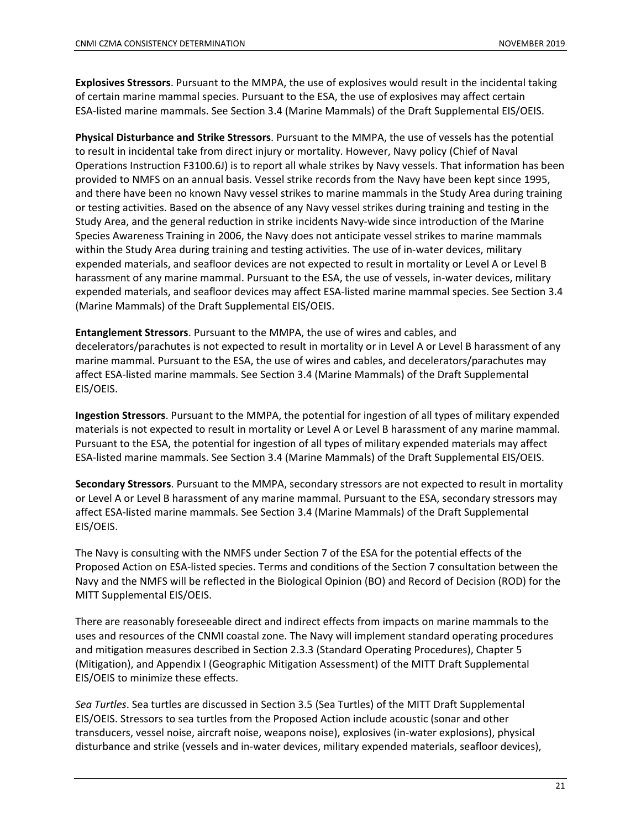**Explosives Stressors**. Pursuant to the MMPA, the use of explosives would result in the incidental taking of certain marine mammal species. Pursuant to the ESA, the use of explosives may affect certain ESA-listed marine mammals. See Section 3.4 (Marine Mammals) of the Draft Supplemental EIS/OEIS.

**Physical Disturbance and Strike Stressors**. Pursuant to the MMPA, the use of vessels has the potential to result in incidental take from direct injury or mortality. However, Navy policy (Chief of Naval Operations Instruction F3100.6J) is to report all whale strikes by Navy vessels. That information has been provided to NMFS on an annual basis. Vessel strike records from the Navy have been kept since 1995, and there have been no known Navy vessel strikes to marine mammals in the Study Area during training or testing activities. Based on the absence of any Navy vessel strikes during training and testing in the Study Area, and the general reduction in strike incidents Navy-wide since introduction of the Marine Species Awareness Training in 2006, the Navy does not anticipate vessel strikes to marine mammals within the Study Area during training and testing activities. The use of in-water devices, military expended materials, and seafloor devices are not expected to result in mortality or Level A or Level B harassment of any marine mammal. Pursuant to the ESA, the use of vessels, in-water devices, military expended materials, and seafloor devices may affect ESA-listed marine mammal species. See Section 3.4 (Marine Mammals) of the Draft Supplemental EIS/OEIS.

**Entanglement Stressors**. Pursuant to the MMPA, the use of wires and cables, and decelerators/parachutes is not expected to result in mortality or in Level A or Level B harassment of any marine mammal. Pursuant to the ESA, the use of wires and cables, and decelerators/parachutes may affect ESA-listed marine mammals. See Section 3.4 (Marine Mammals) of the Draft Supplemental EIS/OEIS.

**Ingestion Stressors**. Pursuant to the MMPA, the potential for ingestion of all types of military expended materials is not expected to result in mortality or Level A or Level B harassment of any marine mammal. Pursuant to the ESA, the potential for ingestion of all types of military expended materials may affect ESA-listed marine mammals. See Section 3.4 (Marine Mammals) of the Draft Supplemental EIS/OEIS.

**Secondary Stressors**. Pursuant to the MMPA, secondary stressors are not expected to result in mortality or Level A or Level B harassment of any marine mammal. Pursuant to the ESA, secondary stressors may affect ESA-listed marine mammals. See Section 3.4 (Marine Mammals) of the Draft Supplemental EIS/OEIS.

The Navy is consulting with the NMFS under Section 7 of the ESA for the potential effects of the Proposed Action on ESA-listed species. Terms and conditions of the Section 7 consultation between the Navy and the NMFS will be reflected in the Biological Opinion (BO) and Record of Decision (ROD) for the MITT Supplemental EIS/OEIS.

There are reasonably foreseeable direct and indirect effects from impacts on marine mammals to the uses and resources of the CNMI coastal zone. The Navy will implement standard operating procedures and mitigation measures described in Section 2.3.3 (Standard Operating Procedures), Chapter 5 (Mitigation), and Appendix I (Geographic Mitigation Assessment) of the MITT Draft Supplemental EIS/OEIS to minimize these effects.

*Sea Turtles*. Sea turtles are discussed in Section 3.5 (Sea Turtles) of the MITT Draft Supplemental EIS/OEIS. Stressors to sea turtles from the Proposed Action include acoustic (sonar and other transducers, vessel noise, aircraft noise, weapons noise), explosives (in-water explosions), physical disturbance and strike (vessels and in-water devices, military expended materials, seafloor devices),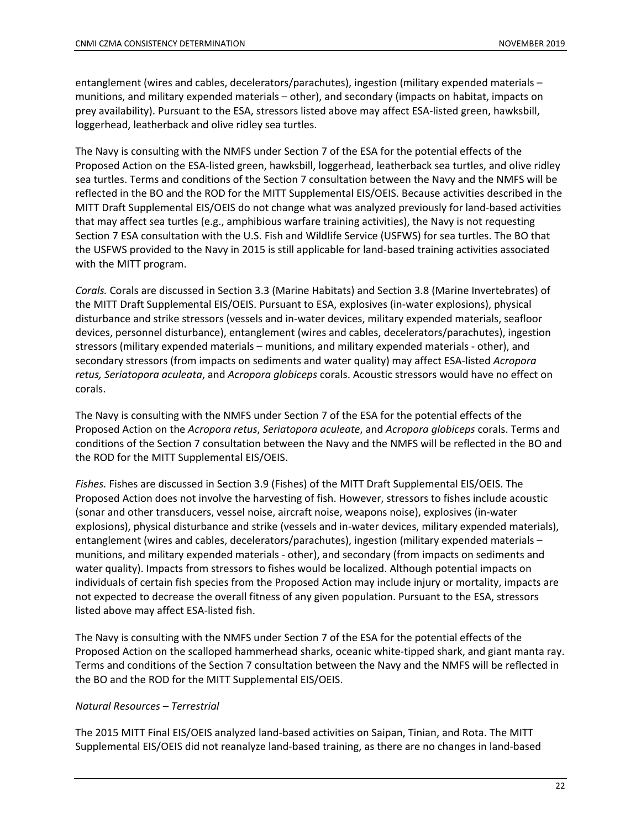entanglement (wires and cables, decelerators/parachutes), ingestion (military expended materials – munitions, and military expended materials – other), and secondary (impacts on habitat, impacts on prey availability). Pursuant to the ESA, stressors listed above may affect ESA-listed green, hawksbill, loggerhead, leatherback and olive ridley sea turtles.

The Navy is consulting with the NMFS under Section 7 of the ESA for the potential effects of the Proposed Action on the ESA-listed green, hawksbill, loggerhead, leatherback sea turtles, and olive ridley sea turtles. Terms and conditions of the Section 7 consultation between the Navy and the NMFS will be reflected in the BO and the ROD for the MITT Supplemental EIS/OEIS. Because activities described in the MITT Draft Supplemental EIS/OEIS do not change what was analyzed previously for land-based activities that may affect sea turtles (e.g., amphibious warfare training activities), the Navy is not requesting Section 7 ESA consultation with the U.S. Fish and Wildlife Service (USFWS) for sea turtles. The BO that the USFWS provided to the Navy in 2015 is still applicable for land-based training activities associated with the MITT program.

*Corals.* Corals are discussed in Section 3.3 (Marine Habitats) and Section 3.8 (Marine Invertebrates) of the MITT Draft Supplemental EIS/OEIS. Pursuant to ESA, explosives (in-water explosions), physical disturbance and strike stressors (vessels and in-water devices, military expended materials, seafloor devices, personnel disturbance), entanglement (wires and cables, decelerators/parachutes), ingestion stressors (military expended materials – munitions, and military expended materials - other), and secondary stressors (from impacts on sediments and water quality) may affect ESA-listed *Acropora retus, Seriatopora aculeata*, and *Acropora globiceps* corals. Acoustic stressors would have no effect on corals.

The Navy is consulting with the NMFS under Section 7 of the ESA for the potential effects of the Proposed Action on the *Acropora retus*, *Seriatopora aculeate*, and *Acropora globiceps* corals. Terms and conditions of the Section 7 consultation between the Navy and the NMFS will be reflected in the BO and the ROD for the MITT Supplemental EIS/OEIS.

*Fishes.* Fishes are discussed in Section 3.9 (Fishes) of the MITT Draft Supplemental EIS/OEIS. The Proposed Action does not involve the harvesting of fish. However, stressors to fishes include acoustic (sonar and other transducers, vessel noise, aircraft noise, weapons noise), explosives (in-water explosions), physical disturbance and strike (vessels and in-water devices, military expended materials), entanglement (wires and cables, decelerators/parachutes), ingestion (military expended materials – munitions, and military expended materials - other), and secondary (from impacts on sediments and water quality). Impacts from stressors to fishes would be localized. Although potential impacts on individuals of certain fish species from the Proposed Action may include injury or mortality, impacts are not expected to decrease the overall fitness of any given population. Pursuant to the ESA, stressors listed above may affect ESA-listed fish.

The Navy is consulting with the NMFS under Section 7 of the ESA for the potential effects of the Proposed Action on the scalloped hammerhead sharks, oceanic white-tipped shark, and giant manta ray. Terms and conditions of the Section 7 consultation between the Navy and the NMFS will be reflected in the BO and the ROD for the MITT Supplemental EIS/OEIS.

#### *Natural Resources* – *Terrestrial*

The 2015 MITT Final EIS/OEIS analyzed land-based activities on Saipan, Tinian, and Rota. The MITT Supplemental EIS/OEIS did not reanalyze land-based training, as there are no changes in land-based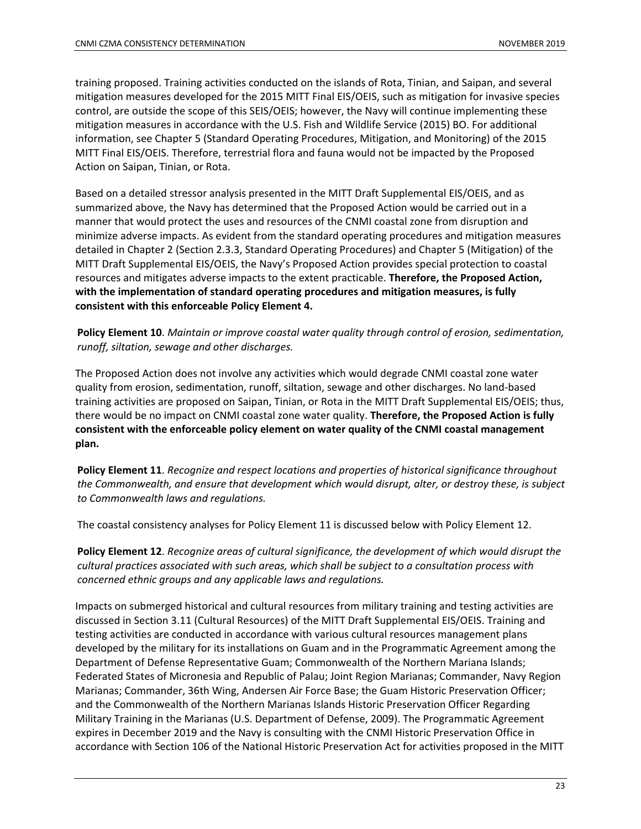training proposed. Training activities conducted on the islands of Rota, Tinian, and Saipan, and several mitigation measures developed for the 2015 MITT Final EIS/OEIS, such as mitigation for invasive species control, are outside the scope of this SEIS/OEIS; however, the Navy will continue implementing these mitigation measures in accordance with the U.S. Fish and Wildlife Service (2015) BO. For additional information, see Chapter 5 (Standard Operating Procedures, Mitigation, and Monitoring) of the 2015 MITT Final EIS/OEIS. Therefore, terrestrial flora and fauna would not be impacted by the Proposed Action on Saipan, Tinian, or Rota.

Based on a detailed stressor analysis presented in the MITT Draft Supplemental EIS/OEIS, and as summarized above, the Navy has determined that the Proposed Action would be carried out in a manner that would protect the uses and resources of the CNMI coastal zone from disruption and minimize adverse impacts. As evident from the standard operating procedures and mitigation measures detailed in Chapter 2 (Section 2.3.3, Standard Operating Procedures) and Chapter 5 (Mitigation) of the MITT Draft Supplemental EIS/OEIS, the Navy's Proposed Action provides special protection to coastal resources and mitigates adverse impacts to the extent practicable. **Therefore, the Proposed Action, with the implementation of standard operating procedures and mitigation measures, is fully consistent with this enforceable Policy Element 4.**

**Policy Element 10**. *Maintain or improve coastal water quality through control of erosion, sedimentation, runoff, siltation, sewage and other discharges.*

The Proposed Action does not involve any activities which would degrade CNMI coastal zone water quality from erosion, sedimentation, runoff, siltation, sewage and other discharges. No land-based training activities are proposed on Saipan, Tinian, or Rota in the MITT Draft Supplemental EIS/OEIS; thus, there would be no impact on CNMI coastal zone water quality. **Therefore, the Proposed Action is fully consistent with the enforceable policy element on water quality of the CNMI coastal management plan.**

**Policy Element 11**. *Recognize and respect locations and properties of historical significance throughout the Commonwealth, and ensure that development which would disrupt, alter, or destroy these, is subject to Commonwealth laws and regulations.* 

The coastal consistency analyses for Policy Element 11 is discussed below with Policy Element 12.

**Policy Element 12**. *Recognize areas of cultural significance, the development of which would disrupt the cultural practices associated with such areas, which shall be subject to a consultation process with concerned ethnic groups and any applicable laws and regulations.* 

Impacts on submerged historical and cultural resources from military training and testing activities are discussed in Section 3.11 (Cultural Resources) of the MITT Draft Supplemental EIS/OEIS. Training and testing activities are conducted in accordance with various cultural resources management plans developed by the military for its installations on Guam and in the Programmatic Agreement among the Department of Defense Representative Guam; Commonwealth of the Northern Mariana Islands; Federated States of Micronesia and Republic of Palau; Joint Region Marianas; Commander, Navy Region Marianas; Commander, 36th Wing, Andersen Air Force Base; the Guam Historic Preservation Officer; and the Commonwealth of the Northern Marianas Islands Historic Preservation Officer Regarding Military Training in the Marianas (U.S. Department of Defense, 2009). The Programmatic Agreement expires in December 2019 and the Navy is consulting with the CNMI Historic Preservation Office in accordance with Section 106 of the National Historic Preservation Act for activities proposed in the MITT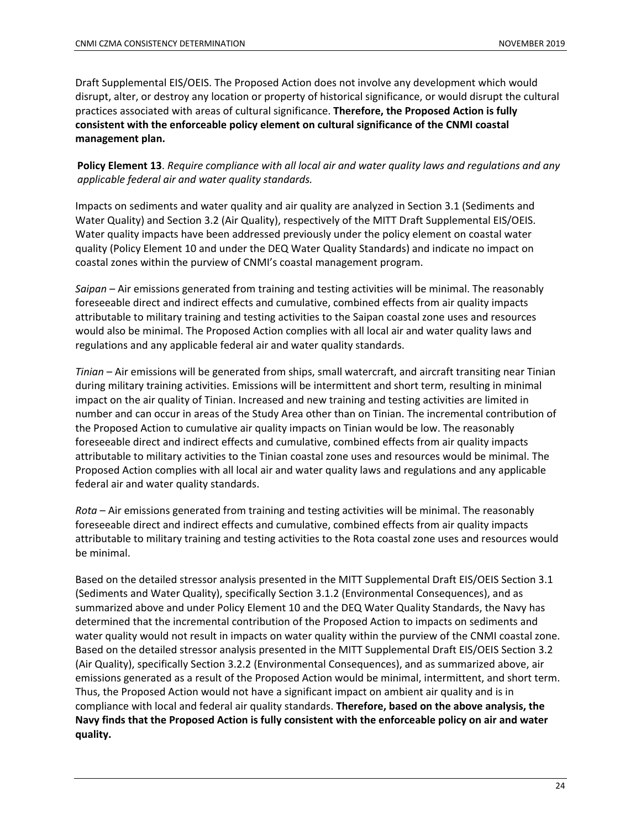Draft Supplemental EIS/OEIS. The Proposed Action does not involve any development which would disrupt, alter, or destroy any location or property of historical significance, or would disrupt the cultural practices associated with areas of cultural significance. **Therefore, the Proposed Action is fully consistent with the enforceable policy element on cultural significance of the CNMI coastal management plan.**

**Policy Element 13**. *Require compliance with all local air and water quality laws and regulations and any applicable federal air and water quality standards.* 

Impacts on sediments and water quality and air quality are analyzed in Section 3.1 (Sediments and Water Quality) and Section 3.2 (Air Quality), respectively of the MITT Draft Supplemental EIS/OEIS. Water quality impacts have been addressed previously under the policy element on coastal water quality (Policy Element 10 and under the DEQ Water Quality Standards) and indicate no impact on coastal zones within the purview of CNMI's coastal management program.

*Saipan* – Air emissions generated from training and testing activities will be minimal. The reasonably foreseeable direct and indirect effects and cumulative, combined effects from air quality impacts attributable to military training and testing activities to the Saipan coastal zone uses and resources would also be minimal. The Proposed Action complies with all local air and water quality laws and regulations and any applicable federal air and water quality standards.

*Tinian* – Air emissions will be generated from ships, small watercraft, and aircraft transiting near Tinian during military training activities. Emissions will be intermittent and short term, resulting in minimal impact on the air quality of Tinian. Increased and new training and testing activities are limited in number and can occur in areas of the Study Area other than on Tinian. The incremental contribution of the Proposed Action to cumulative air quality impacts on Tinian would be low. The reasonably foreseeable direct and indirect effects and cumulative, combined effects from air quality impacts attributable to military activities to the Tinian coastal zone uses and resources would be minimal. The Proposed Action complies with all local air and water quality laws and regulations and any applicable federal air and water quality standards.

*Rota* – Air emissions generated from training and testing activities will be minimal. The reasonably foreseeable direct and indirect effects and cumulative, combined effects from air quality impacts attributable to military training and testing activities to the Rota coastal zone uses and resources would be minimal.

Based on the detailed stressor analysis presented in the MITT Supplemental Draft EIS/OEIS Section 3.1 (Sediments and Water Quality), specifically Section 3.1.2 (Environmental Consequences), and as summarized above and under Policy Element 10 and the DEQ Water Quality Standards, the Navy has determined that the incremental contribution of the Proposed Action to impacts on sediments and water quality would not result in impacts on water quality within the purview of the CNMI coastal zone. Based on the detailed stressor analysis presented in the MITT Supplemental Draft EIS/OEIS Section 3.2 (Air Quality), specifically Section 3.2.2 (Environmental Consequences), and as summarized above, air emissions generated as a result of the Proposed Action would be minimal, intermittent, and short term. Thus, the Proposed Action would not have a significant impact on ambient air quality and is in compliance with local and federal air quality standards. **Therefore, based on the above analysis, the Navy finds that the Proposed Action is fully consistent with the enforceable policy on air and water quality.**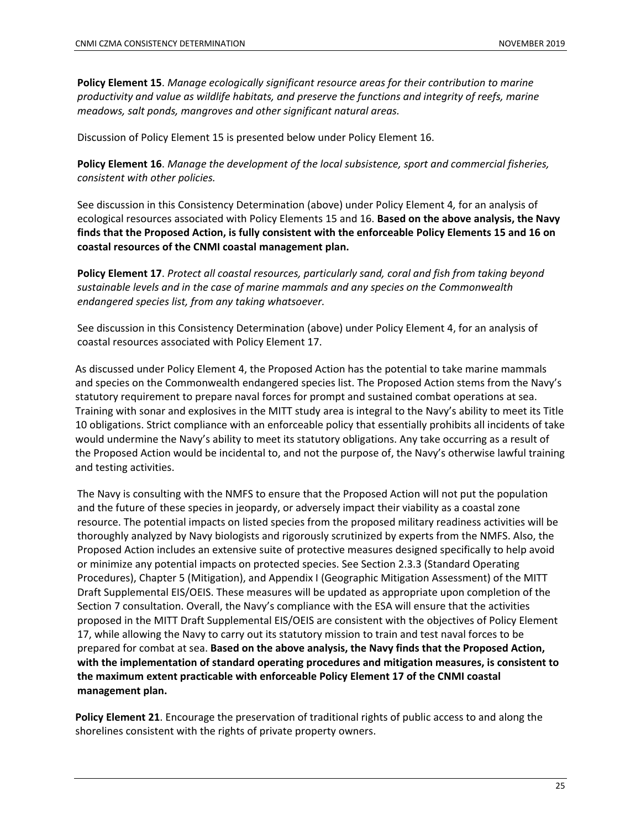**Policy Element 15**. *Manage ecologically significant resource areas for their contribution to marine productivity and value as wildlife habitats, and preserve the functions and integrity of reefs, marine meadows, salt ponds, mangroves and other significant natural areas.*

Discussion of Policy Element 15 is presented below under Policy Element 16.

**Policy Element 16**. *Manage the development of the local subsistence, sport and commercial fisheries, consistent with other policies.*

See discussion in this Consistency Determination (above) under Policy Element 4*,* for an analysis of ecological resources associated with Policy Elements 15 and 16. **Based on the above analysis, the Navy finds that the Proposed Action, is fully consistent with the enforceable Policy Elements 15 and 16 on coastal resources of the CNMI coastal management plan.**

**Policy Element 17**. *Protect all coastal resources, particularly sand, coral and fish from taking beyond sustainable levels and in the case of marine mammals and any species on the Commonwealth endangered species list, from any taking whatsoever.*

See discussion in this Consistency Determination (above) under Policy Element 4, for an analysis of coastal resources associated with Policy Element 17.

As discussed under Policy Element 4, the Proposed Action has the potential to take marine mammals and species on the Commonwealth endangered species list. The Proposed Action stems from the Navy's statutory requirement to prepare naval forces for prompt and sustained combat operations at sea. Training with sonar and explosives in the MITT study area is integral to the Navy's ability to meet its Title 10 obligations. Strict compliance with an enforceable policy that essentially prohibits all incidents of take would undermine the Navy's ability to meet its statutory obligations. Any take occurring as a result of the Proposed Action would be incidental to, and not the purpose of, the Navy's otherwise lawful training and testing activities.

The Navy is consulting with the NMFS to ensure that the Proposed Action will not put the population and the future of these species in jeopardy, or adversely impact their viability as a coastal zone resource. The potential impacts on listed species from the proposed military readiness activities will be thoroughly analyzed by Navy biologists and rigorously scrutinized by experts from the NMFS. Also, the Proposed Action includes an extensive suite of protective measures designed specifically to help avoid or minimize any potential impacts on protected species. See Section 2.3.3 (Standard Operating Procedures), Chapter 5 (Mitigation), and Appendix I (Geographic Mitigation Assessment) of the MITT Draft Supplemental EIS/OEIS. These measures will be updated as appropriate upon completion of the Section 7 consultation. Overall, the Navy's compliance with the ESA will ensure that the activities proposed in the MITT Draft Supplemental EIS/OEIS are consistent with the objectives of Policy Element 17, while allowing the Navy to carry out its statutory mission to train and test naval forces to be prepared for combat at sea. **Based on the above analysis, the Navy finds that the Proposed Action, with the implementation of standard operating procedures and mitigation measures, is consistent to the maximum extent practicable with enforceable Policy Element 17 of the CNMI coastal management plan.**

**Policy Element 21**. Encourage the preservation of traditional rights of public access to and along the shorelines consistent with the rights of private property owners.